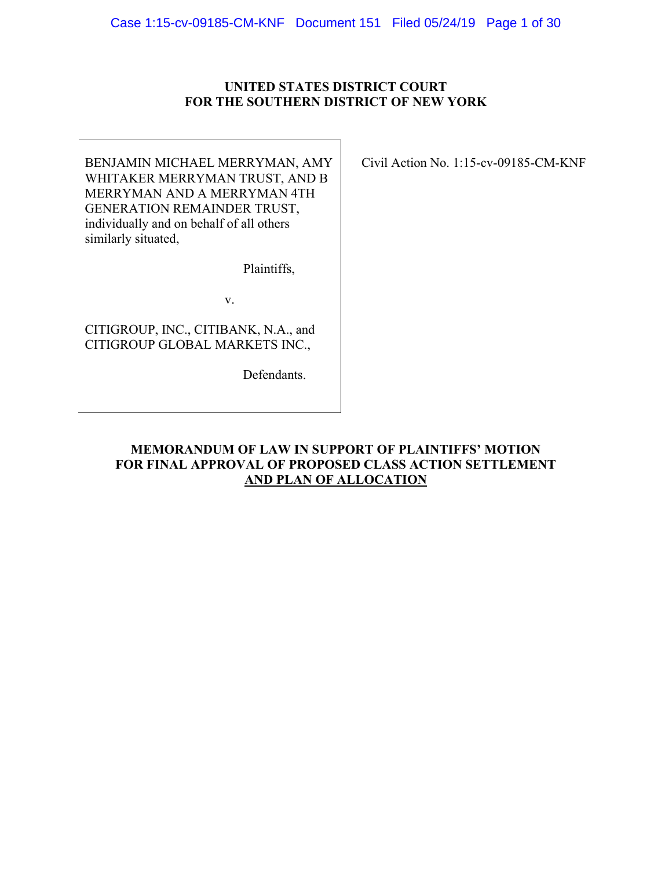### **UNITED STATES DISTRICT COURT FOR THE SOUTHERN DISTRICT OF NEW YORK**

BENJAMIN MICHAEL MERRYMAN, AMY WHITAKER MERRYMAN TRUST, AND B MERRYMAN AND A MERRYMAN 4TH GENERATION REMAINDER TRUST, individually and on behalf of all others similarly situated,

Plaintiffs,

v.

CITIGROUP, INC., CITIBANK, N.A., and CITIGROUP GLOBAL MARKETS INC.,

Defendants.

Civil Action No. 1:15-cv-09185-CM-KNF

## **MEMORANDUM OF LAW IN SUPPORT OF PLAINTIFFS' MOTION FOR FINAL APPROVAL OF PROPOSED CLASS ACTION SETTLEMENT AND PLAN OF ALLOCATION**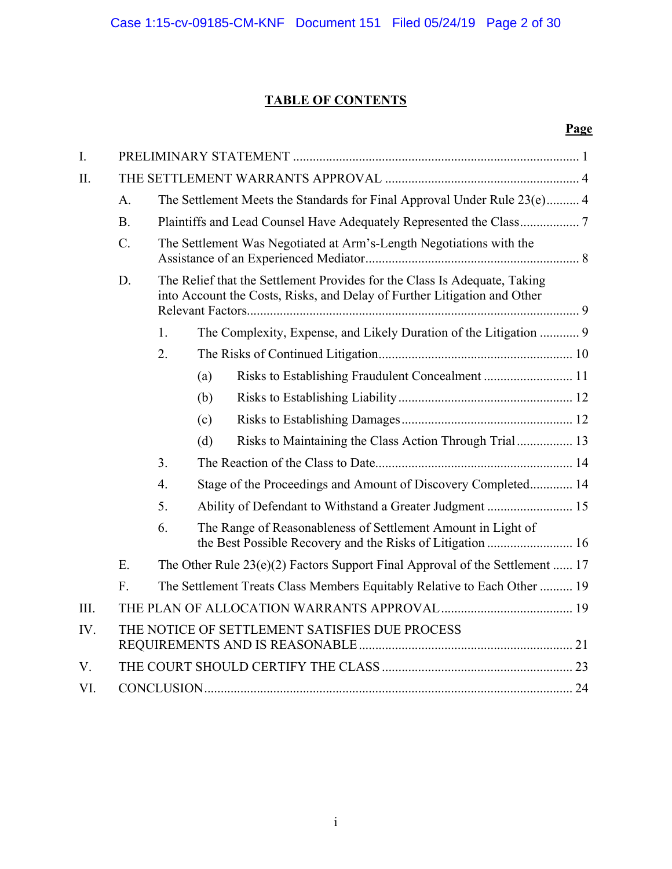# **TABLE OF CONTENTS**

## **Page**

| I.   |           |                                                                                                                                                       |                                                               |                                                                   |  |  |  |
|------|-----------|-------------------------------------------------------------------------------------------------------------------------------------------------------|---------------------------------------------------------------|-------------------------------------------------------------------|--|--|--|
| II.  |           |                                                                                                                                                       |                                                               |                                                                   |  |  |  |
|      | A.        | The Settlement Meets the Standards for Final Approval Under Rule 23(e) 4                                                                              |                                                               |                                                                   |  |  |  |
|      | <b>B.</b> |                                                                                                                                                       |                                                               |                                                                   |  |  |  |
|      | $C$ .     | The Settlement Was Negotiated at Arm's-Length Negotiations with the                                                                                   |                                                               |                                                                   |  |  |  |
|      | D.        | The Relief that the Settlement Provides for the Class Is Adequate, Taking<br>into Account the Costs, Risks, and Delay of Further Litigation and Other |                                                               |                                                                   |  |  |  |
|      |           | 1.                                                                                                                                                    |                                                               | The Complexity, Expense, and Likely Duration of the Litigation  9 |  |  |  |
|      |           | 2.                                                                                                                                                    |                                                               |                                                                   |  |  |  |
|      |           |                                                                                                                                                       | (a)                                                           |                                                                   |  |  |  |
|      |           |                                                                                                                                                       | (b)                                                           |                                                                   |  |  |  |
|      |           |                                                                                                                                                       | (c)                                                           |                                                                   |  |  |  |
|      |           |                                                                                                                                                       | (d)                                                           | Risks to Maintaining the Class Action Through Trial 13            |  |  |  |
|      |           | 3.                                                                                                                                                    |                                                               |                                                                   |  |  |  |
|      |           | $\overline{4}$ .                                                                                                                                      | Stage of the Proceedings and Amount of Discovery Completed 14 |                                                                   |  |  |  |
|      |           | 5.                                                                                                                                                    | Ability of Defendant to Withstand a Greater Judgment  15      |                                                                   |  |  |  |
|      |           | 6.                                                                                                                                                    | The Range of Reasonableness of Settlement Amount in Light of  |                                                                   |  |  |  |
|      | E.        | The Other Rule $23(e)(2)$ Factors Support Final Approval of the Settlement  17                                                                        |                                                               |                                                                   |  |  |  |
|      | F.        | The Settlement Treats Class Members Equitably Relative to Each Other  19                                                                              |                                                               |                                                                   |  |  |  |
| III. |           |                                                                                                                                                       |                                                               |                                                                   |  |  |  |
| IV.  |           | THE NOTICE OF SETTLEMENT SATISFIES DUE PROCESS                                                                                                        |                                                               |                                                                   |  |  |  |
| V.   |           |                                                                                                                                                       |                                                               |                                                                   |  |  |  |
| VI.  |           |                                                                                                                                                       |                                                               |                                                                   |  |  |  |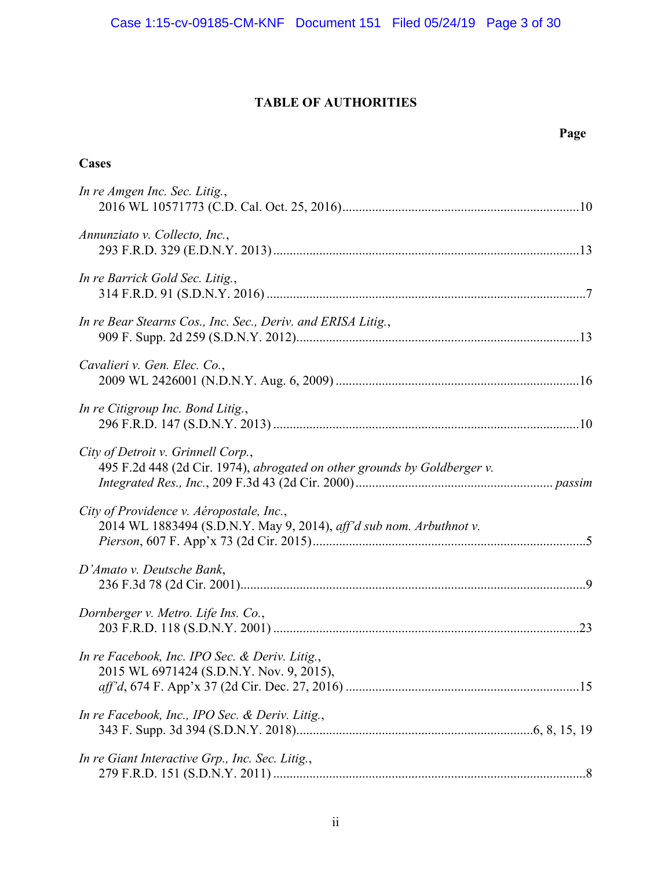## **TABLE OF AUTHORITIES**

**Cases** 

## **Page**

| In re Amgen Inc. Sec. Litig.,                                                                                   |
|-----------------------------------------------------------------------------------------------------------------|
| Annunziato v. Collecto, Inc.,                                                                                   |
| In re Barrick Gold Sec. Litig.,                                                                                 |
| In re Bear Stearns Cos., Inc. Sec., Deriv. and ERISA Litig.,                                                    |
| Cavalieri v. Gen. Elec. Co.,                                                                                    |
| In re Citigroup Inc. Bond Litig.,                                                                               |
| City of Detroit v. Grinnell Corp.,<br>495 F.2d 448 (2d Cir. 1974), abrogated on other grounds by Goldberger v.  |
| City of Providence v. Aéropostale, Inc.,<br>2014 WL 1883494 (S.D.N.Y. May 9, 2014), aff'd sub nom. Arbuthnot v. |
| D'Amato v. Deutsche Bank,                                                                                       |
| Dornberger v. Metro. Life Ins. Co.,                                                                             |
| In re Facebook, Inc. IPO Sec. & Deriv. Litig.,<br>2015 WL 6971424 (S.D.N.Y. Nov. 9, 2015),                      |
| In re Facebook, Inc., IPO Sec. & Deriv. Litig.,                                                                 |
| In re Giant Interactive Grp., Inc. Sec. Litig.,                                                                 |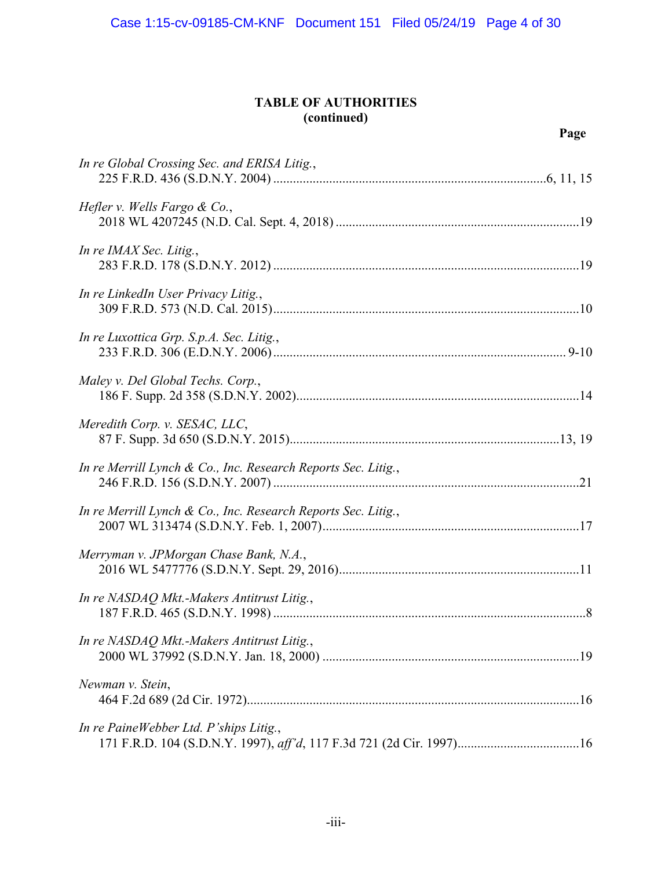## **TABLE OF AUTHORITIES (continued)**

| In re Global Crossing Sec. and ERISA Litig.,                  |
|---------------------------------------------------------------|
| Hefler v. Wells Fargo $\&$ Co.,                               |
| In re IMAX Sec. Litig.,                                       |
| In re LinkedIn User Privacy Litig.,                           |
| In re Luxottica Grp. S.p.A. Sec. Litig.,                      |
| Maley v. Del Global Techs. Corp.,                             |
| Meredith Corp. v. SESAC, LLC,                                 |
| In re Merrill Lynch & Co., Inc. Research Reports Sec. Litig., |
| In re Merrill Lynch & Co., Inc. Research Reports Sec. Litig., |
| Merryman v. JPMorgan Chase Bank, N.A.,                        |
| In re NASDAQ Mkt.-Makers Antitrust Litig.,                    |
| In re NASDAQ Mkt.-Makers Antitrust Litig.,                    |
| Newman v. Stein,                                              |
| In re PaineWebber Ltd. P'ships Litig.,                        |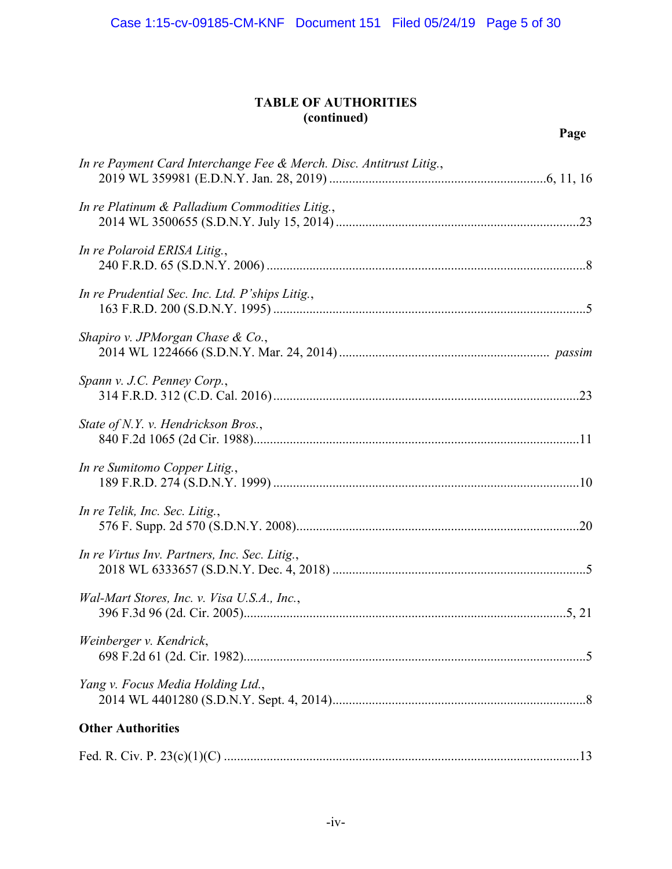## **TABLE OF AUTHORITIES (continued)**

## **Page**

| In re Payment Card Interchange Fee & Merch. Disc. Antitrust Litig., |
|---------------------------------------------------------------------|
| In re Platinum & Palladium Commodities Litig.,                      |
| In re Polaroid ERISA Litig.,                                        |
| In re Prudential Sec. Inc. Ltd. P'ships Litig.,                     |
| Shapiro v. JPMorgan Chase & Co.,                                    |
| Spann v. J.C. Penney Corp.,                                         |
| State of N.Y. v. Hendrickson Bros.,                                 |
| In re Sumitomo Copper Litig.,                                       |
| In re Telik, Inc. Sec. Litig.,                                      |
| In re Virtus Inv. Partners, Inc. Sec. Litig.,                       |
| Wal-Mart Stores, Inc. v. Visa U.S.A., Inc.,                         |
| Weinberger v. Kendrick,                                             |
| Yang v. Focus Media Holding Ltd.,                                   |
| <b>Other Authorities</b>                                            |
|                                                                     |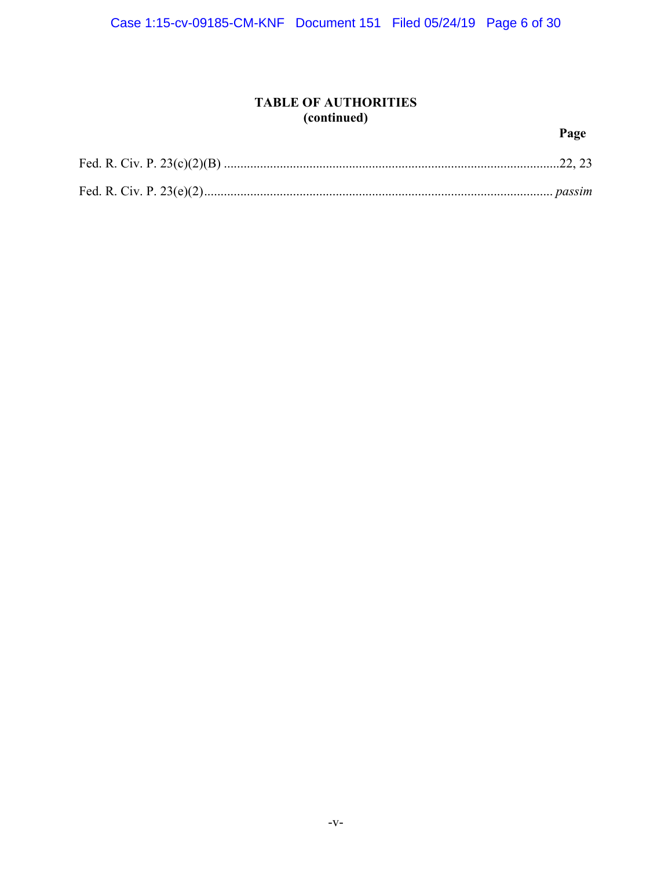## **TABLE OF AUTHORITIES (continued)**

## **Page**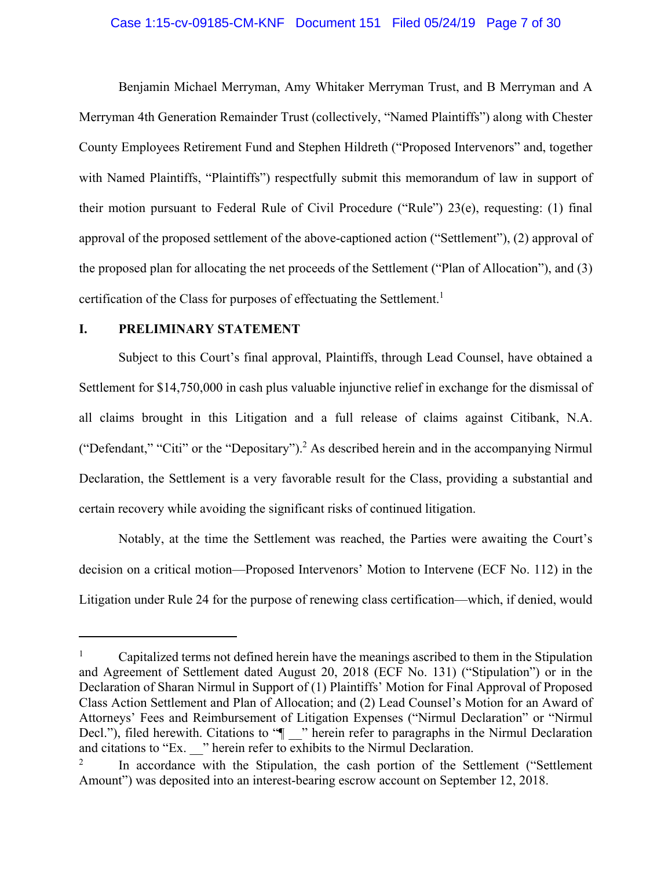#### Case 1:15-cv-09185-CM-KNF Document 151 Filed 05/24/19 Page 7 of 30

Benjamin Michael Merryman, Amy Whitaker Merryman Trust, and B Merryman and A Merryman 4th Generation Remainder Trust (collectively, "Named Plaintiffs") along with Chester County Employees Retirement Fund and Stephen Hildreth ("Proposed Intervenors" and, together with Named Plaintiffs, "Plaintiffs") respectfully submit this memorandum of law in support of their motion pursuant to Federal Rule of Civil Procedure ("Rule") 23(e), requesting: (1) final approval of the proposed settlement of the above-captioned action ("Settlement"), (2) approval of the proposed plan for allocating the net proceeds of the Settlement ("Plan of Allocation"), and (3) certification of the Class for purposes of effectuating the Settlement.<sup>1</sup>

### **I. PRELIMINARY STATEMENT**

 $\overline{a}$ 

Subject to this Court's final approval, Plaintiffs, through Lead Counsel, have obtained a Settlement for \$14,750,000 in cash plus valuable injunctive relief in exchange for the dismissal of all claims brought in this Litigation and a full release of claims against Citibank, N.A. ("Defendant," "Citi" or the "Depositary").<sup>2</sup> As described herein and in the accompanying Nirmul Declaration, the Settlement is a very favorable result for the Class, providing a substantial and certain recovery while avoiding the significant risks of continued litigation.

Notably, at the time the Settlement was reached, the Parties were awaiting the Court's decision on a critical motion—Proposed Intervenors' Motion to Intervene (ECF No. 112) in the Litigation under Rule 24 for the purpose of renewing class certification—which, if denied, would

<sup>1</sup> Capitalized terms not defined herein have the meanings ascribed to them in the Stipulation and Agreement of Settlement dated August 20, 2018 (ECF No. 131) ("Stipulation") or in the Declaration of Sharan Nirmul in Support of (1) Plaintiffs' Motion for Final Approval of Proposed Class Action Settlement and Plan of Allocation; and (2) Lead Counsel's Motion for an Award of Attorneys' Fees and Reimbursement of Litigation Expenses ("Nirmul Declaration" or "Nirmul Decl."), filed herewith. Citations to " $\parallel$ " herein refer to paragraphs in the Nirmul Declaration and citations to "Ex. <sup>"</sup> herein refer to exhibits to the Nirmul Declaration.

<sup>2</sup> In accordance with the Stipulation, the cash portion of the Settlement ("Settlement Amount") was deposited into an interest-bearing escrow account on September 12, 2018.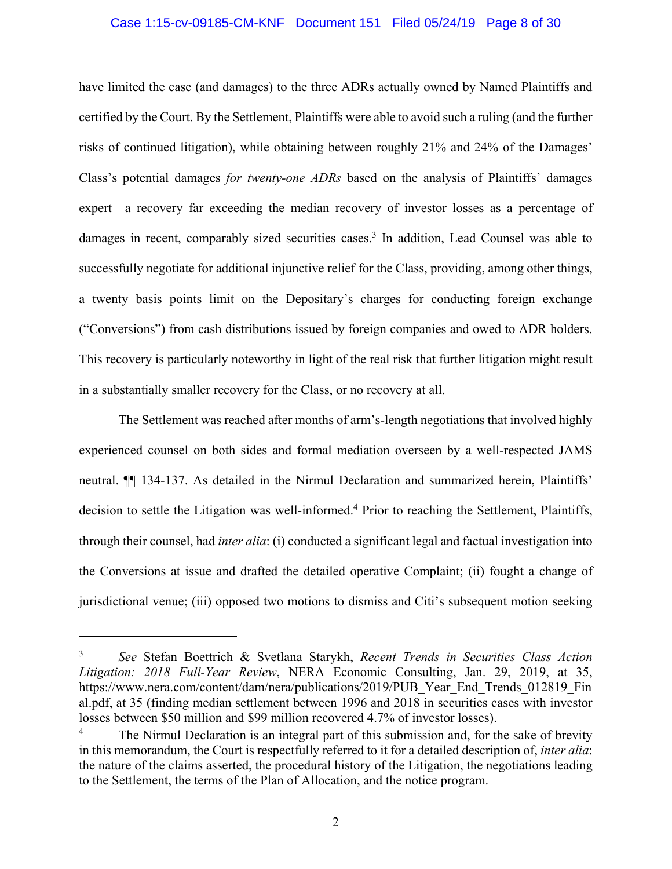#### Case 1:15-cv-09185-CM-KNF Document 151 Filed 05/24/19 Page 8 of 30

have limited the case (and damages) to the three ADRs actually owned by Named Plaintiffs and certified by the Court. By the Settlement, Plaintiffs were able to avoid such a ruling (and the further risks of continued litigation), while obtaining between roughly 21% and 24% of the Damages' Class's potential damages *for twenty-one ADRs* based on the analysis of Plaintiffs' damages expert—a recovery far exceeding the median recovery of investor losses as a percentage of damages in recent, comparably sized securities cases.<sup>3</sup> In addition, Lead Counsel was able to successfully negotiate for additional injunctive relief for the Class, providing, among other things, a twenty basis points limit on the Depositary's charges for conducting foreign exchange ("Conversions") from cash distributions issued by foreign companies and owed to ADR holders. This recovery is particularly noteworthy in light of the real risk that further litigation might result in a substantially smaller recovery for the Class, or no recovery at all.

The Settlement was reached after months of arm's-length negotiations that involved highly experienced counsel on both sides and formal mediation overseen by a well-respected JAMS neutral. ¶¶ 134-137. As detailed in the Nirmul Declaration and summarized herein, Plaintiffs' decision to settle the Litigation was well-informed.<sup>4</sup> Prior to reaching the Settlement, Plaintiffs, through their counsel, had *inter alia*: (i) conducted a significant legal and factual investigation into the Conversions at issue and drafted the detailed operative Complaint; (ii) fought a change of jurisdictional venue; (iii) opposed two motions to dismiss and Citi's subsequent motion seeking

<u>.</u>

<sup>3</sup> *See* Stefan Boettrich & Svetlana Starykh, *Recent Trends in Securities Class Action Litigation: 2018 Full-Year Review*, NERA Economic Consulting, Jan. 29, 2019, at 35, https://www.nera.com/content/dam/nera/publications/2019/PUB\_Year\_End\_Trends\_012819\_Fin al.pdf, at 35 (finding median settlement between 1996 and 2018 in securities cases with investor losses between \$50 million and \$99 million recovered 4.7% of investor losses).

<sup>4</sup> The Nirmul Declaration is an integral part of this submission and, for the sake of brevity in this memorandum, the Court is respectfully referred to it for a detailed description of, *inter alia*: the nature of the claims asserted, the procedural history of the Litigation, the negotiations leading to the Settlement, the terms of the Plan of Allocation, and the notice program.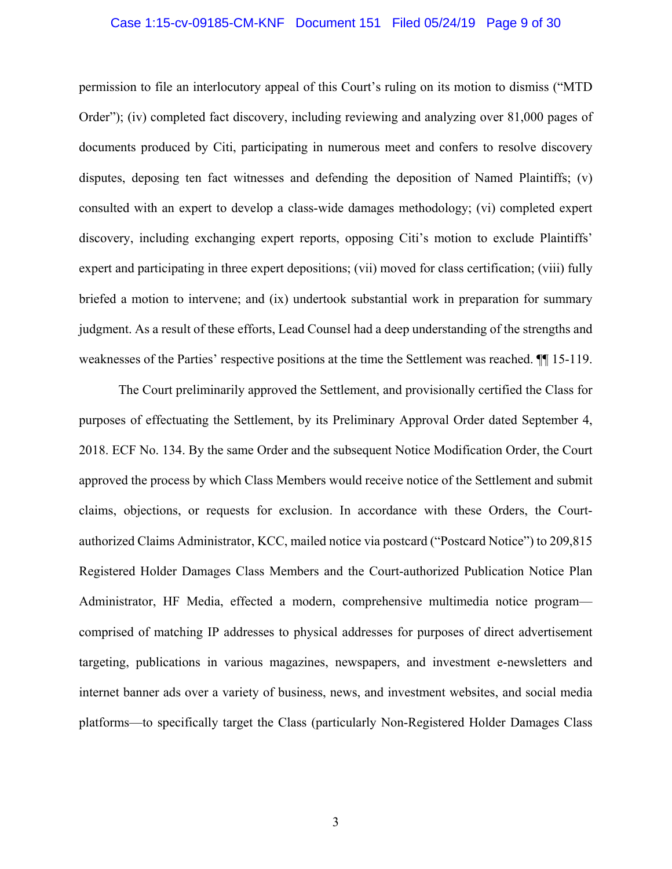## Case 1:15-cv-09185-CM-KNF Document 151 Filed 05/24/19 Page 9 of 30

permission to file an interlocutory appeal of this Court's ruling on its motion to dismiss ("MTD Order"); (iv) completed fact discovery, including reviewing and analyzing over 81,000 pages of documents produced by Citi, participating in numerous meet and confers to resolve discovery disputes, deposing ten fact witnesses and defending the deposition of Named Plaintiffs; (v) consulted with an expert to develop a class-wide damages methodology; (vi) completed expert discovery, including exchanging expert reports, opposing Citi's motion to exclude Plaintiffs' expert and participating in three expert depositions; (vii) moved for class certification; (viii) fully briefed a motion to intervene; and (ix) undertook substantial work in preparation for summary judgment. As a result of these efforts, Lead Counsel had a deep understanding of the strengths and weaknesses of the Parties' respective positions at the time the Settlement was reached. ¶¶ 15-119.

The Court preliminarily approved the Settlement, and provisionally certified the Class for purposes of effectuating the Settlement, by its Preliminary Approval Order dated September 4, 2018. ECF No. 134. By the same Order and the subsequent Notice Modification Order, the Court approved the process by which Class Members would receive notice of the Settlement and submit claims, objections, or requests for exclusion. In accordance with these Orders, the Courtauthorized Claims Administrator, KCC, mailed notice via postcard ("Postcard Notice") to 209,815 Registered Holder Damages Class Members and the Court-authorized Publication Notice Plan Administrator, HF Media, effected a modern, comprehensive multimedia notice program comprised of matching IP addresses to physical addresses for purposes of direct advertisement targeting, publications in various magazines, newspapers, and investment e-newsletters and internet banner ads over a variety of business, news, and investment websites, and social media platforms—to specifically target the Class (particularly Non-Registered Holder Damages Class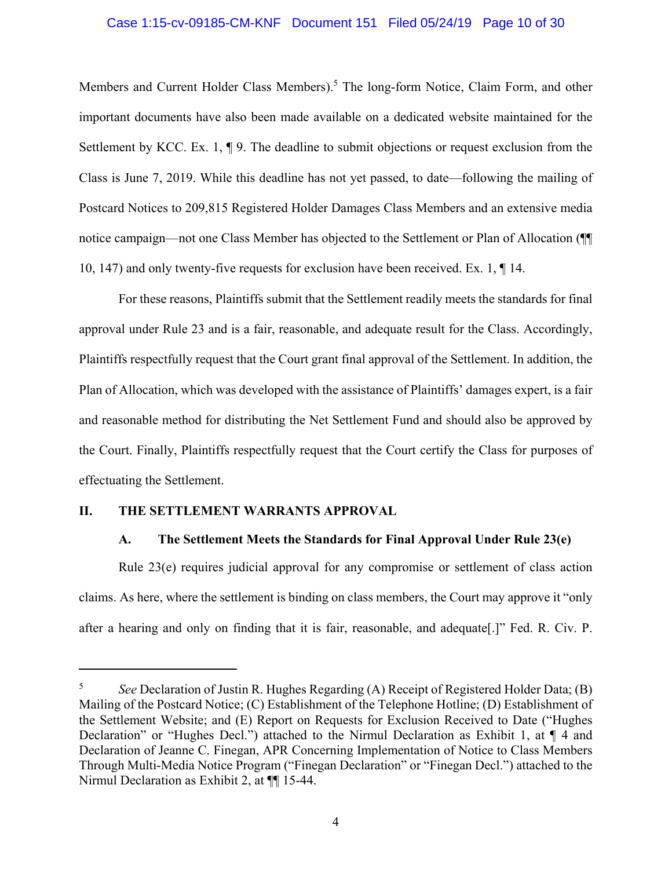## Case 1:15-cv-09185-CM-KNF Document 151 Filed 05/24/19 Page 10 of 30

Members and Current Holder Class Members).<sup>5</sup> The long-form Notice, Claim Form, and other important documents have also been made available on a dedicated website maintained for the Settlement by KCC. Ex. 1, ¶ 9. The deadline to submit objections or request exclusion from the Class is June 7, 2019. While this deadline has not yet passed, to date—following the mailing of Postcard Notices to 209,815 Registered Holder Damages Class Members and an extensive media notice campaign—not one Class Member has objected to the Settlement or Plan of Allocation (¶¶ 10, 147) and only twenty-five requests for exclusion have been received. Ex. 1, ¶ 14.

For these reasons, Plaintiffs submit that the Settlement readily meets the standards for final approval under Rule 23 and is a fair, reasonable, and adequate result for the Class. Accordingly, Plaintiffs respectfully request that the Court grant final approval of the Settlement. In addition, the Plan of Allocation, which was developed with the assistance of Plaintiffs' damages expert, is a fair and reasonable method for distributing the Net Settlement Fund and should also be approved by the Court. Finally, Plaintiffs respectfully request that the Court certify the Class for purposes of effectuating the Settlement.

## **II. THE SETTLEMENT WARRANTS APPROVAL**

 $\overline{a}$ 

#### **A. The Settlement Meets the Standards for Final Approval Under Rule 23(e)**

Rule 23(e) requires judicial approval for any compromise or settlement of class action claims. As here, where the settlement is binding on class members, the Court may approve it "only after a hearing and only on finding that it is fair, reasonable, and adequate[.]" Fed. R. Civ. P.

<sup>5</sup> *See* Declaration of Justin R. Hughes Regarding (A) Receipt of Registered Holder Data; (B) Mailing of the Postcard Notice; (C) Establishment of the Telephone Hotline; (D) Establishment of the Settlement Website; and (E) Report on Requests for Exclusion Received to Date ("Hughes Declaration" or "Hughes Decl.") attached to the Nirmul Declaration as Exhibit 1, at ¶ 4 and Declaration of Jeanne C. Finegan, APR Concerning Implementation of Notice to Class Members Through Multi-Media Notice Program ("Finegan Declaration" or "Finegan Decl.") attached to the Nirmul Declaration as Exhibit 2, at ¶¶ 15-44.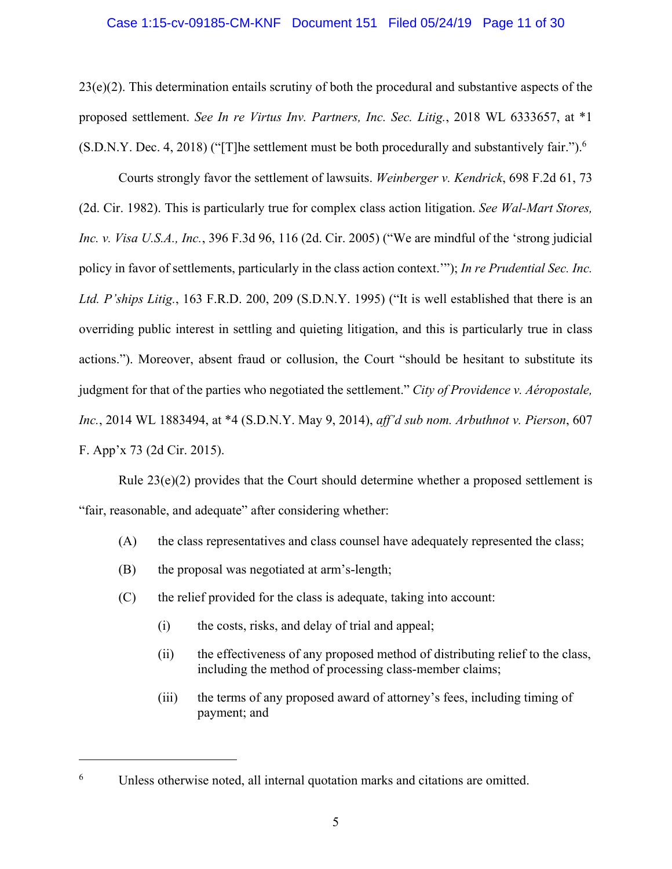#### Case 1:15-cv-09185-CM-KNF Document 151 Filed 05/24/19 Page 11 of 30

 $23(e)(2)$ . This determination entails scrutiny of both the procedural and substantive aspects of the proposed settlement. *See In re Virtus Inv. Partners, Inc. Sec. Litig.*, 2018 WL 6333657, at \*1  $(S.D.N.Y. Dec. 4, 2018)$  ("[T]he settlement must be both procedurally and substantively fair.").<sup>6</sup>

Courts strongly favor the settlement of lawsuits. *Weinberger v. Kendrick*, 698 F.2d 61, 73 (2d. Cir. 1982). This is particularly true for complex class action litigation. *See Wal-Mart Stores, Inc. v. Visa U.S.A., Inc.*, 396 F.3d 96, 116 (2d. Cir. 2005) ("We are mindful of the 'strong judicial policy in favor of settlements, particularly in the class action context.'"); *In re Prudential Sec. Inc. Ltd. P'ships Litig.*, 163 F.R.D. 200, 209 (S.D.N.Y. 1995) ("It is well established that there is an overriding public interest in settling and quieting litigation, and this is particularly true in class actions."). Moreover, absent fraud or collusion, the Court "should be hesitant to substitute its judgment for that of the parties who negotiated the settlement." *City of Providence v. Aéropostale, Inc.*, 2014 WL 1883494, at \*4 (S.D.N.Y. May 9, 2014), *aff'd sub nom. Arbuthnot v. Pierson*, 607 F. App'x 73 (2d Cir. 2015).

Rule  $23(e)(2)$  provides that the Court should determine whether a proposed settlement is "fair, reasonable, and adequate" after considering whether:

- (A) the class representatives and class counsel have adequately represented the class;
- (B) the proposal was negotiated at arm's-length;

1

- (C) the relief provided for the class is adequate, taking into account:
	- (i) the costs, risks, and delay of trial and appeal;
	- (ii) the effectiveness of any proposed method of distributing relief to the class, including the method of processing class-member claims;
	- (iii) the terms of any proposed award of attorney's fees, including timing of payment; and

<sup>6</sup> Unless otherwise noted, all internal quotation marks and citations are omitted.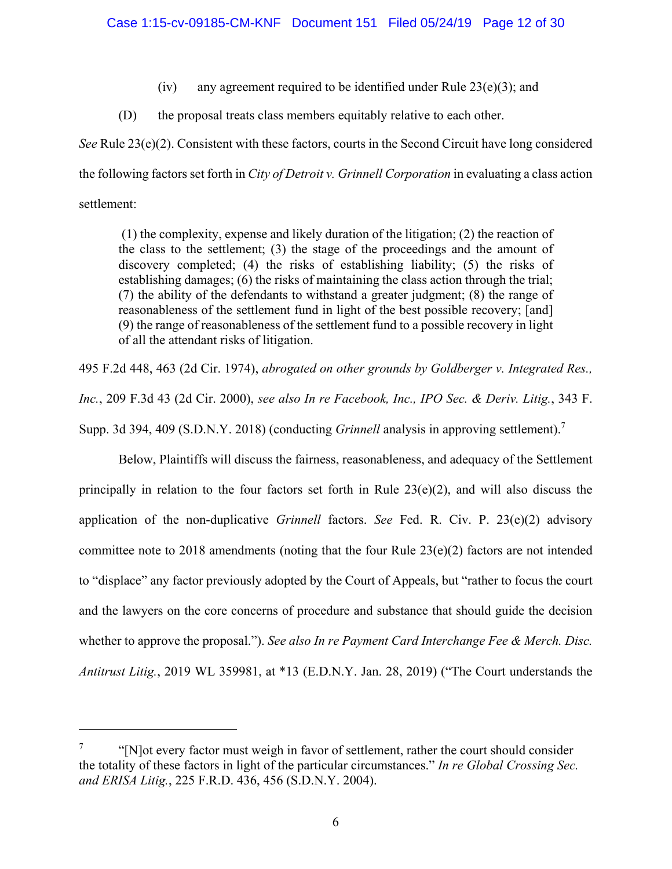- (iv) any agreement required to be identified under Rule  $23(e)(3)$ ; and
- (D) the proposal treats class members equitably relative to each other.

*See* Rule 23(e)(2). Consistent with these factors, courts in the Second Circuit have long considered the following factors set forth in *City of Detroit v. Grinnell Corporation* in evaluating a class action settlement:

 (1) the complexity, expense and likely duration of the litigation; (2) the reaction of the class to the settlement; (3) the stage of the proceedings and the amount of discovery completed; (4) the risks of establishing liability; (5) the risks of establishing damages; (6) the risks of maintaining the class action through the trial; (7) the ability of the defendants to withstand a greater judgment; (8) the range of reasonableness of the settlement fund in light of the best possible recovery; [and] (9) the range of reasonableness of the settlement fund to a possible recovery in light of all the attendant risks of litigation.

495 F.2d 448, 463 (2d Cir. 1974), *abrogated on other grounds by Goldberger v. Integrated Res., Inc.*, 209 F.3d 43 (2d Cir. 2000), *see also In re Facebook, Inc., IPO Sec. & Deriv. Litig.*, 343 F. Supp. 3d 394, 409 (S.D.N.Y. 2018) (conducting *Grinnell* analysis in approving settlement).7

Below, Plaintiffs will discuss the fairness, reasonableness, and adequacy of the Settlement principally in relation to the four factors set forth in Rule  $23(e)(2)$ , and will also discuss the application of the non-duplicative *Grinnell* factors. *See* Fed. R. Civ. P. 23(e)(2) advisory committee note to 2018 amendments (noting that the four Rule  $23(e)(2)$  factors are not intended to "displace" any factor previously adopted by the Court of Appeals, but "rather to focus the court and the lawyers on the core concerns of procedure and substance that should guide the decision whether to approve the proposal."). *See also In re Payment Card Interchange Fee & Merch. Disc. Antitrust Litig.*, 2019 WL 359981, at \*13 (E.D.N.Y. Jan. 28, 2019) ("The Court understands the

 $\overline{a}$ 

<sup>7</sup> "[N]ot every factor must weigh in favor of settlement, rather the court should consider the totality of these factors in light of the particular circumstances." *In re Global Crossing Sec. and ERISA Litig.*, 225 F.R.D. 436, 456 (S.D.N.Y. 2004).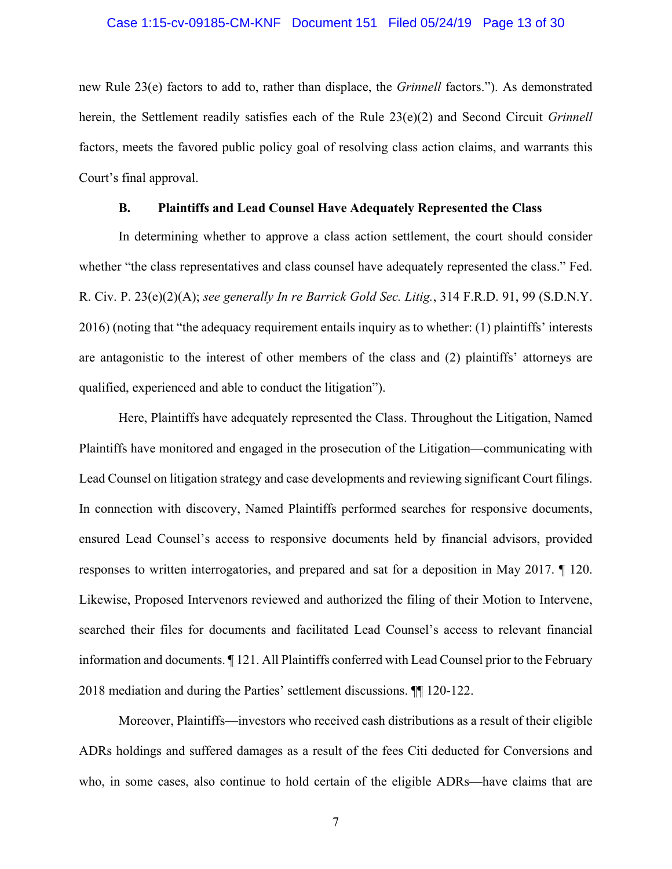## Case 1:15-cv-09185-CM-KNF Document 151 Filed 05/24/19 Page 13 of 30

new Rule 23(e) factors to add to, rather than displace, the *Grinnell* factors."). As demonstrated herein, the Settlement readily satisfies each of the Rule 23(e)(2) and Second Circuit *Grinnell* factors, meets the favored public policy goal of resolving class action claims, and warrants this Court's final approval.

### **B. Plaintiffs and Lead Counsel Have Adequately Represented the Class**

In determining whether to approve a class action settlement, the court should consider whether "the class representatives and class counsel have adequately represented the class." Fed. R. Civ. P. 23(e)(2)(A); *see generally In re Barrick Gold Sec. Litig.*, 314 F.R.D. 91, 99 (S.D.N.Y. 2016) (noting that "the adequacy requirement entails inquiry as to whether: (1) plaintiffs' interests are antagonistic to the interest of other members of the class and (2) plaintiffs' attorneys are qualified, experienced and able to conduct the litigation").

Here, Plaintiffs have adequately represented the Class. Throughout the Litigation, Named Plaintiffs have monitored and engaged in the prosecution of the Litigation—communicating with Lead Counsel on litigation strategy and case developments and reviewing significant Court filings. In connection with discovery, Named Plaintiffs performed searches for responsive documents, ensured Lead Counsel's access to responsive documents held by financial advisors, provided responses to written interrogatories, and prepared and sat for a deposition in May 2017. ¶ 120. Likewise, Proposed Intervenors reviewed and authorized the filing of their Motion to Intervene, searched their files for documents and facilitated Lead Counsel's access to relevant financial information and documents. ¶ 121. All Plaintiffs conferred with Lead Counsel prior to the February 2018 mediation and during the Parties' settlement discussions. ¶¶ 120-122.

Moreover, Plaintiffs—investors who received cash distributions as a result of their eligible ADRs holdings and suffered damages as a result of the fees Citi deducted for Conversions and who, in some cases, also continue to hold certain of the eligible ADRs—have claims that are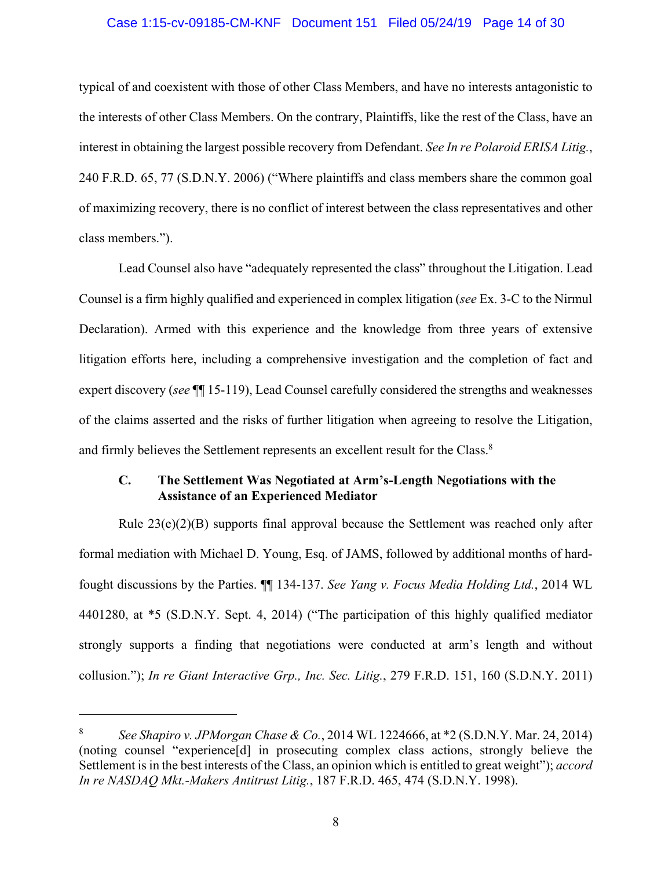## Case 1:15-cv-09185-CM-KNF Document 151 Filed 05/24/19 Page 14 of 30

typical of and coexistent with those of other Class Members, and have no interests antagonistic to the interests of other Class Members. On the contrary, Plaintiffs, like the rest of the Class, have an interest in obtaining the largest possible recovery from Defendant. *See In re Polaroid ERISA Litig.*, 240 F.R.D. 65, 77 (S.D.N.Y. 2006) ("Where plaintiffs and class members share the common goal of maximizing recovery, there is no conflict of interest between the class representatives and other class members.").

Lead Counsel also have "adequately represented the class" throughout the Litigation. Lead Counsel is a firm highly qualified and experienced in complex litigation (*see* Ex. 3-C to the Nirmul Declaration). Armed with this experience and the knowledge from three years of extensive litigation efforts here, including a comprehensive investigation and the completion of fact and expert discovery (*see* ¶¶ 15-119), Lead Counsel carefully considered the strengths and weaknesses of the claims asserted and the risks of further litigation when agreeing to resolve the Litigation, and firmly believes the Settlement represents an excellent result for the Class.<sup>8</sup>

## **C. The Settlement Was Negotiated at Arm's-Length Negotiations with the Assistance of an Experienced Mediator**

Rule 23(e)(2)(B) supports final approval because the Settlement was reached only after formal mediation with Michael D. Young, Esq. of JAMS, followed by additional months of hardfought discussions by the Parties. ¶¶ 134-137. *See Yang v. Focus Media Holding Ltd.*, 2014 WL 4401280, at \*5 (S.D.N.Y. Sept. 4, 2014) ("The participation of this highly qualified mediator strongly supports a finding that negotiations were conducted at arm's length and without collusion."); *In re Giant Interactive Grp., Inc. Sec. Litig.*, 279 F.R.D. 151, 160 (S.D.N.Y. 2011)

 $\overline{a}$ 

<sup>8</sup> *See Shapiro v. JPMorgan Chase & Co.*, 2014 WL 1224666, at \*2 (S.D.N.Y. Mar. 24, 2014) (noting counsel "experience[d] in prosecuting complex class actions, strongly believe the Settlement is in the best interests of the Class, an opinion which is entitled to great weight"); *accord In re NASDAQ Mkt.-Makers Antitrust Litig.*, 187 F.R.D. 465, 474 (S.D.N.Y. 1998).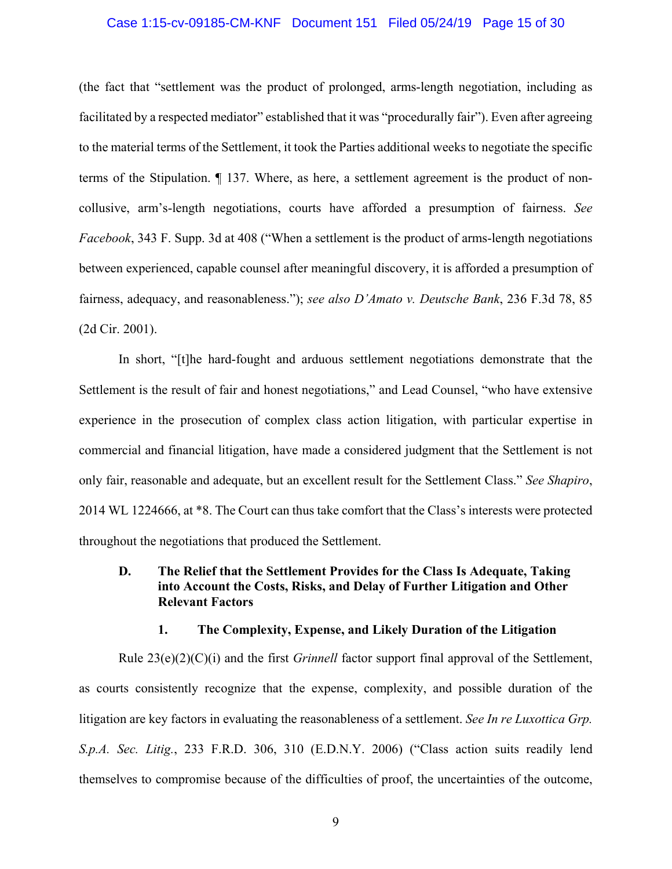## Case 1:15-cv-09185-CM-KNF Document 151 Filed 05/24/19 Page 15 of 30

(the fact that "settlement was the product of prolonged, arms-length negotiation, including as facilitated by a respected mediator" established that it was "procedurally fair"). Even after agreeing to the material terms of the Settlement, it took the Parties additional weeks to negotiate the specific terms of the Stipulation. ¶ 137. Where, as here, a settlement agreement is the product of noncollusive, arm's-length negotiations, courts have afforded a presumption of fairness. *See Facebook*, 343 F. Supp. 3d at 408 ("When a settlement is the product of arms-length negotiations between experienced, capable counsel after meaningful discovery, it is afforded a presumption of fairness, adequacy, and reasonableness."); *see also D'Amato v. Deutsche Bank*, 236 F.3d 78, 85 (2d Cir. 2001).

In short, "[t]he hard-fought and arduous settlement negotiations demonstrate that the Settlement is the result of fair and honest negotiations," and Lead Counsel, "who have extensive experience in the prosecution of complex class action litigation, with particular expertise in commercial and financial litigation, have made a considered judgment that the Settlement is not only fair, reasonable and adequate, but an excellent result for the Settlement Class." *See Shapiro*, 2014 WL 1224666, at \*8. The Court can thus take comfort that the Class's interests were protected throughout the negotiations that produced the Settlement.

### **D. The Relief that the Settlement Provides for the Class Is Adequate, Taking into Account the Costs, Risks, and Delay of Further Litigation and Other Relevant Factors**

#### **1. The Complexity, Expense, and Likely Duration of the Litigation**

Rule 23(e)(2)(C)(i) and the first *Grinnell* factor support final approval of the Settlement, as courts consistently recognize that the expense, complexity, and possible duration of the litigation are key factors in evaluating the reasonableness of a settlement. *See In re Luxottica Grp. S.p.A. Sec. Litig.*, 233 F.R.D. 306, 310 (E.D.N.Y. 2006) ("Class action suits readily lend themselves to compromise because of the difficulties of proof, the uncertainties of the outcome,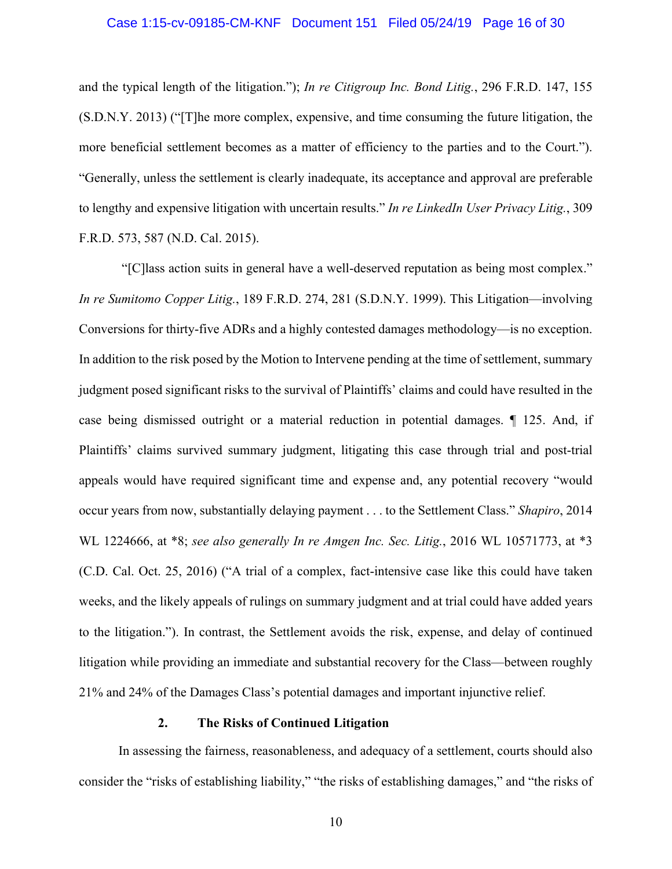## Case 1:15-cv-09185-CM-KNF Document 151 Filed 05/24/19 Page 16 of 30

and the typical length of the litigation."); *In re Citigroup Inc. Bond Litig.*, 296 F.R.D. 147, 155 (S.D.N.Y. 2013) ("[T]he more complex, expensive, and time consuming the future litigation, the more beneficial settlement becomes as a matter of efficiency to the parties and to the Court."). "Generally, unless the settlement is clearly inadequate, its acceptance and approval are preferable to lengthy and expensive litigation with uncertain results." *In re LinkedIn User Privacy Litig.*, 309 F.R.D. 573, 587 (N.D. Cal. 2015).

 "[C]lass action suits in general have a well-deserved reputation as being most complex." *In re Sumitomo Copper Litig.*, 189 F.R.D. 274, 281 (S.D.N.Y. 1999). This Litigation—involving Conversions for thirty-five ADRs and a highly contested damages methodology—is no exception. In addition to the risk posed by the Motion to Intervene pending at the time of settlement, summary judgment posed significant risks to the survival of Plaintiffs' claims and could have resulted in the case being dismissed outright or a material reduction in potential damages. ¶ 125. And, if Plaintiffs' claims survived summary judgment, litigating this case through trial and post-trial appeals would have required significant time and expense and, any potential recovery "would occur years from now, substantially delaying payment . . . to the Settlement Class." *Shapiro*, 2014 WL 1224666, at \*8; *see also generally In re Amgen Inc. Sec. Litig.*, 2016 WL 10571773, at \*3 (C.D. Cal. Oct. 25, 2016) ("A trial of a complex, fact-intensive case like this could have taken weeks, and the likely appeals of rulings on summary judgment and at trial could have added years to the litigation."). In contrast, the Settlement avoids the risk, expense, and delay of continued litigation while providing an immediate and substantial recovery for the Class—between roughly 21% and 24% of the Damages Class's potential damages and important injunctive relief.

#### **2. The Risks of Continued Litigation**

In assessing the fairness, reasonableness, and adequacy of a settlement, courts should also consider the "risks of establishing liability," "the risks of establishing damages," and "the risks of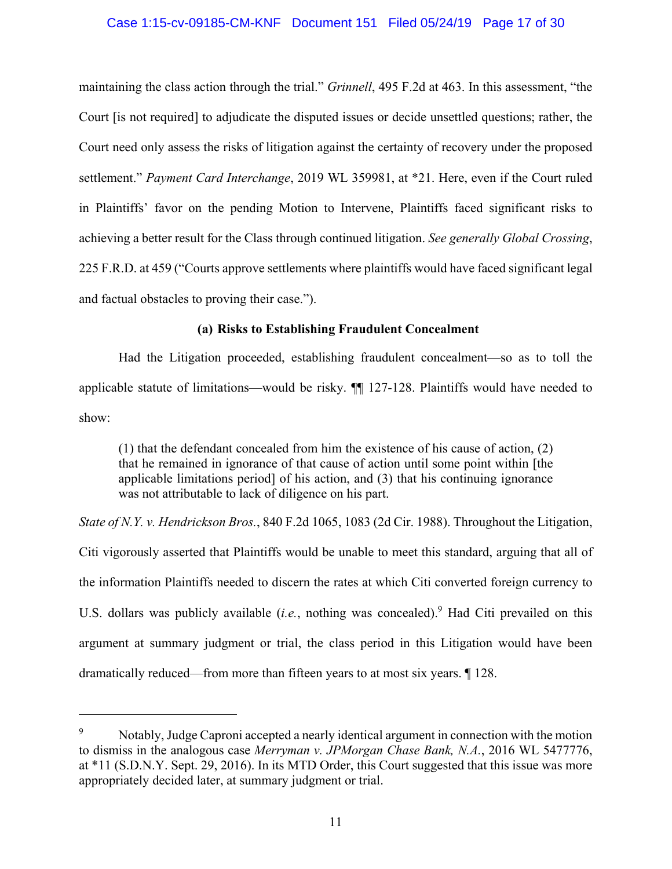### Case 1:15-cv-09185-CM-KNF Document 151 Filed 05/24/19 Page 17 of 30

maintaining the class action through the trial." *Grinnell*, 495 F.2d at 463. In this assessment, "the Court [is not required] to adjudicate the disputed issues or decide unsettled questions; rather, the Court need only assess the risks of litigation against the certainty of recovery under the proposed settlement." *Payment Card Interchange*, 2019 WL 359981, at \*21. Here, even if the Court ruled in Plaintiffs' favor on the pending Motion to Intervene, Plaintiffs faced significant risks to achieving a better result for the Class through continued litigation. *See generally Global Crossing*, 225 F.R.D. at 459 ("Courts approve settlements where plaintiffs would have faced significant legal and factual obstacles to proving their case.").

### **(a) Risks to Establishing Fraudulent Concealment**

Had the Litigation proceeded, establishing fraudulent concealment—so as to toll the applicable statute of limitations—would be risky. ¶¶ 127-128. Plaintiffs would have needed to show:

(1) that the defendant concealed from him the existence of his cause of action, (2) that he remained in ignorance of that cause of action until some point within [the applicable limitations period] of his action, and (3) that his continuing ignorance was not attributable to lack of diligence on his part.

*State of N.Y. v. Hendrickson Bros.*, 840 F.2d 1065, 1083 (2d Cir. 1988). Throughout the Litigation, Citi vigorously asserted that Plaintiffs would be unable to meet this standard, arguing that all of the information Plaintiffs needed to discern the rates at which Citi converted foreign currency to U.S. dollars was publicly available (*i.e.*, nothing was concealed).<sup>9</sup> Had Citi prevailed on this argument at summary judgment or trial, the class period in this Litigation would have been dramatically reduced—from more than fifteen years to at most six years. ¶ 128.

1

<sup>9</sup> Notably, Judge Caproni accepted a nearly identical argument in connection with the motion to dismiss in the analogous case *Merryman v. JPMorgan Chase Bank, N.A.*, 2016 WL 5477776, at \*11 (S.D.N.Y. Sept. 29, 2016). In its MTD Order, this Court suggested that this issue was more appropriately decided later, at summary judgment or trial.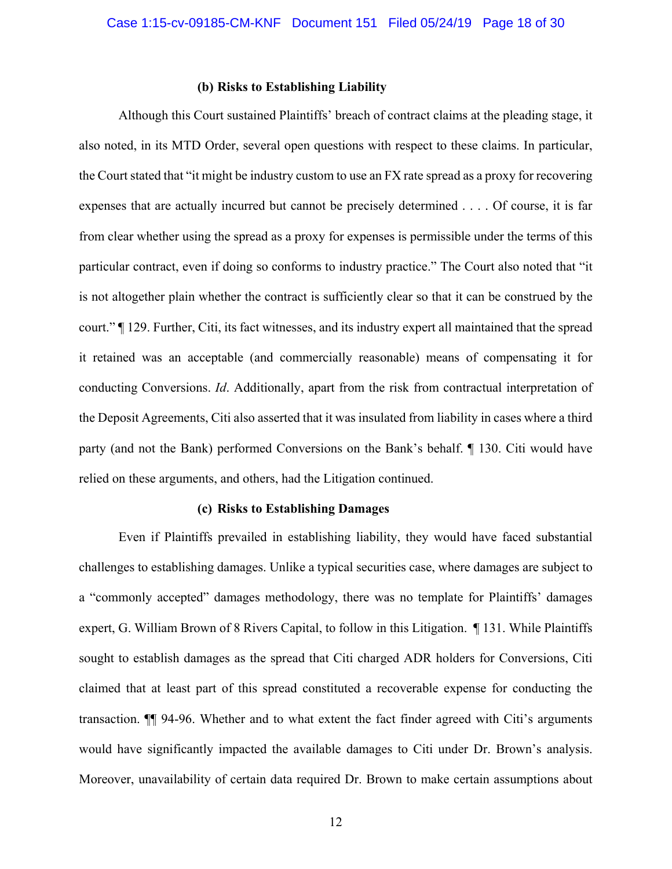#### **(b) Risks to Establishing Liability**

Although this Court sustained Plaintiffs' breach of contract claims at the pleading stage, it also noted, in its MTD Order, several open questions with respect to these claims. In particular, the Court stated that "it might be industry custom to use an FX rate spread as a proxy for recovering expenses that are actually incurred but cannot be precisely determined . . . . Of course, it is far from clear whether using the spread as a proxy for expenses is permissible under the terms of this particular contract, even if doing so conforms to industry practice." The Court also noted that "it is not altogether plain whether the contract is sufficiently clear so that it can be construed by the court." ¶ 129. Further, Citi, its fact witnesses, and its industry expert all maintained that the spread it retained was an acceptable (and commercially reasonable) means of compensating it for conducting Conversions. *Id*. Additionally, apart from the risk from contractual interpretation of the Deposit Agreements, Citi also asserted that it was insulated from liability in cases where a third party (and not the Bank) performed Conversions on the Bank's behalf. ¶ 130. Citi would have relied on these arguments, and others, had the Litigation continued.

#### **(c) Risks to Establishing Damages**

Even if Plaintiffs prevailed in establishing liability, they would have faced substantial challenges to establishing damages. Unlike a typical securities case, where damages are subject to a "commonly accepted" damages methodology, there was no template for Plaintiffs' damages expert, G. William Brown of 8 Rivers Capital, to follow in this Litigation. ¶ 131. While Plaintiffs sought to establish damages as the spread that Citi charged ADR holders for Conversions, Citi claimed that at least part of this spread constituted a recoverable expense for conducting the transaction. ¶¶ 94-96. Whether and to what extent the fact finder agreed with Citi's arguments would have significantly impacted the available damages to Citi under Dr. Brown's analysis. Moreover, unavailability of certain data required Dr. Brown to make certain assumptions about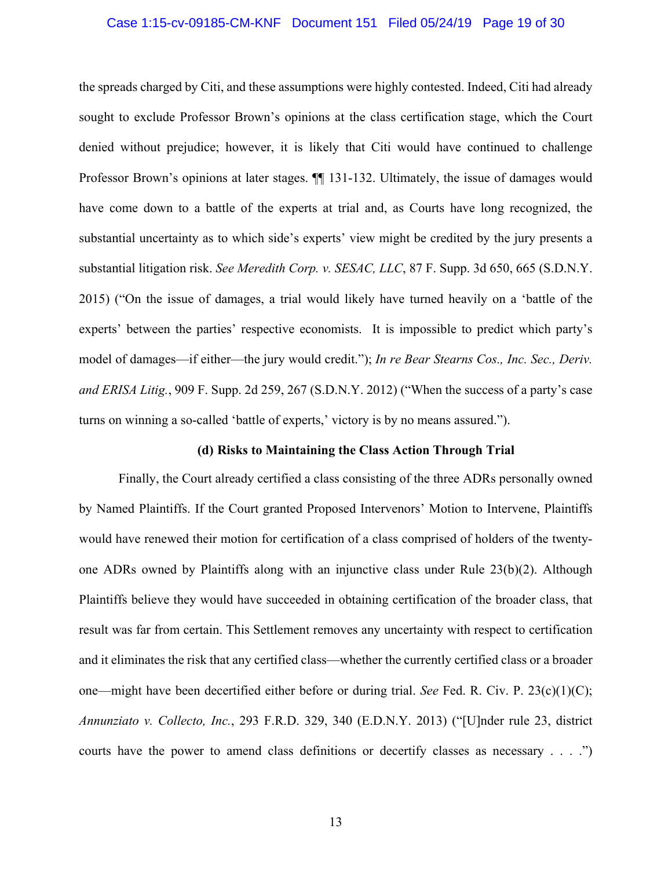## Case 1:15-cv-09185-CM-KNF Document 151 Filed 05/24/19 Page 19 of 30

the spreads charged by Citi, and these assumptions were highly contested. Indeed, Citi had already sought to exclude Professor Brown's opinions at the class certification stage, which the Court denied without prejudice; however, it is likely that Citi would have continued to challenge Professor Brown's opinions at later stages.  $\P$  131-132. Ultimately, the issue of damages would have come down to a battle of the experts at trial and, as Courts have long recognized, the substantial uncertainty as to which side's experts' view might be credited by the jury presents a substantial litigation risk. *See Meredith Corp. v. SESAC, LLC*, 87 F. Supp. 3d 650, 665 (S.D.N.Y. 2015) ("On the issue of damages, a trial would likely have turned heavily on a 'battle of the experts' between the parties' respective economists. It is impossible to predict which party's model of damages—if either—the jury would credit."); *In re Bear Stearns Cos., Inc. Sec., Deriv. and ERISA Litig.*, 909 F. Supp. 2d 259, 267 (S.D.N.Y. 2012) ("When the success of a party's case turns on winning a so-called 'battle of experts,' victory is by no means assured.").

#### **(d) Risks to Maintaining the Class Action Through Trial**

Finally, the Court already certified a class consisting of the three ADRs personally owned by Named Plaintiffs. If the Court granted Proposed Intervenors' Motion to Intervene, Plaintiffs would have renewed their motion for certification of a class comprised of holders of the twentyone ADRs owned by Plaintiffs along with an injunctive class under Rule 23(b)(2). Although Plaintiffs believe they would have succeeded in obtaining certification of the broader class, that result was far from certain. This Settlement removes any uncertainty with respect to certification and it eliminates the risk that any certified class—whether the currently certified class or a broader one—might have been decertified either before or during trial. *See* Fed. R. Civ. P. 23(c)(1)(C); *Annunziato v. Collecto, Inc.*, 293 F.R.D. 329, 340 (E.D.N.Y. 2013) ("[U]nder rule 23, district courts have the power to amend class definitions or decertify classes as necessary . . . .")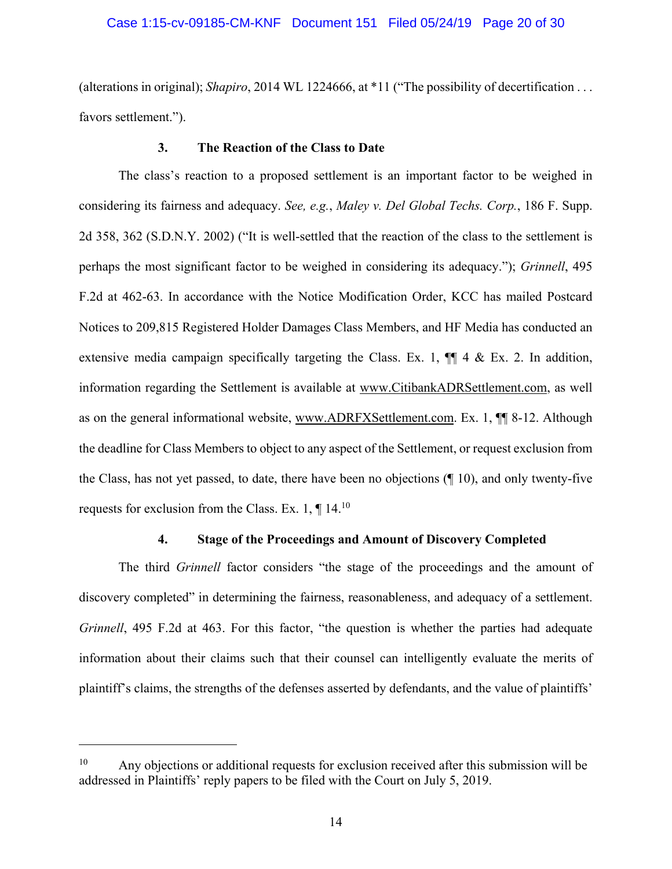## Case 1:15-cv-09185-CM-KNF Document 151 Filed 05/24/19 Page 20 of 30

(alterations in original); *Shapiro*, 2014 WL 1224666, at \*11 ("The possibility of decertification . . . favors settlement.").

#### **3. The Reaction of the Class to Date**

The class's reaction to a proposed settlement is an important factor to be weighed in considering its fairness and adequacy. *See, e.g.*, *Maley v. Del Global Techs. Corp.*, 186 F. Supp. 2d 358, 362 (S.D.N.Y. 2002) ("It is well-settled that the reaction of the class to the settlement is perhaps the most significant factor to be weighed in considering its adequacy."); *Grinnell*, 495 F.2d at 462-63. In accordance with the Notice Modification Order, KCC has mailed Postcard Notices to 209,815 Registered Holder Damages Class Members, and HF Media has conducted an extensive media campaign specifically targeting the Class. Ex. 1,  $\P$  4 & Ex. 2. In addition, information regarding the Settlement is available at www.CitibankADRSettlement.com, as well as on the general informational website, www.ADRFXSettlement.com. Ex. 1, ¶¶ 8-12. Although the deadline for Class Members to object to any aspect of the Settlement, or request exclusion from the Class, has not yet passed, to date, there have been no objections (¶ 10), and only twenty-five requests for exclusion from the Class. Ex. 1,  $\P$  14.<sup>10</sup>

#### **4. Stage of the Proceedings and Amount of Discovery Completed**

The third *Grinnell* factor considers "the stage of the proceedings and the amount of discovery completed" in determining the fairness, reasonableness, and adequacy of a settlement. *Grinnell*, 495 F.2d at 463. For this factor, "the question is whether the parties had adequate information about their claims such that their counsel can intelligently evaluate the merits of plaintiff's claims, the strengths of the defenses asserted by defendants, and the value of plaintiffs'

<u>.</u>

 $10$  Any objections or additional requests for exclusion received after this submission will be addressed in Plaintiffs' reply papers to be filed with the Court on July 5, 2019.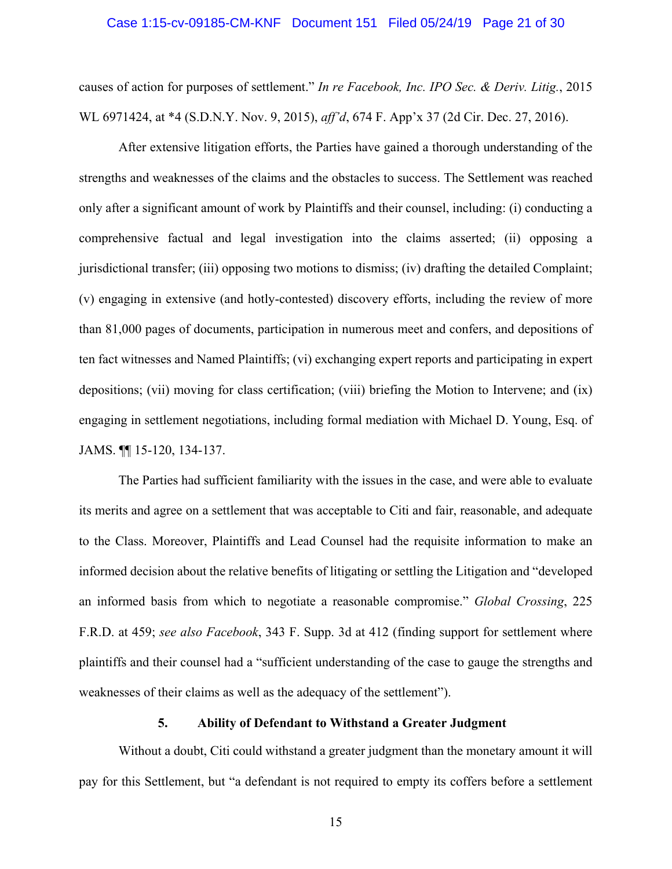## Case 1:15-cv-09185-CM-KNF Document 151 Filed 05/24/19 Page 21 of 30

causes of action for purposes of settlement." *In re Facebook, Inc. IPO Sec. & Deriv. Litig.*, 2015 WL 6971424, at \*4 (S.D.N.Y. Nov. 9, 2015), *aff'd*, 674 F. App'x 37 (2d Cir. Dec. 27, 2016).

After extensive litigation efforts, the Parties have gained a thorough understanding of the strengths and weaknesses of the claims and the obstacles to success. The Settlement was reached only after a significant amount of work by Plaintiffs and their counsel, including: (i) conducting a comprehensive factual and legal investigation into the claims asserted; (ii) opposing a jurisdictional transfer; (iii) opposing two motions to dismiss; (iv) drafting the detailed Complaint; (v) engaging in extensive (and hotly-contested) discovery efforts, including the review of more than 81,000 pages of documents, participation in numerous meet and confers, and depositions of ten fact witnesses and Named Plaintiffs; (vi) exchanging expert reports and participating in expert depositions; (vii) moving for class certification; (viii) briefing the Motion to Intervene; and (ix) engaging in settlement negotiations, including formal mediation with Michael D. Young, Esq. of JAMS. ¶¶ 15-120, 134-137.

The Parties had sufficient familiarity with the issues in the case, and were able to evaluate its merits and agree on a settlement that was acceptable to Citi and fair, reasonable, and adequate to the Class. Moreover, Plaintiffs and Lead Counsel had the requisite information to make an informed decision about the relative benefits of litigating or settling the Litigation and "developed an informed basis from which to negotiate a reasonable compromise." *Global Crossing*, 225 F.R.D. at 459; *see also Facebook*, 343 F. Supp. 3d at 412 (finding support for settlement where plaintiffs and their counsel had a "sufficient understanding of the case to gauge the strengths and weaknesses of their claims as well as the adequacy of the settlement").

#### **5. Ability of Defendant to Withstand a Greater Judgment**

Without a doubt, Citi could withstand a greater judgment than the monetary amount it will pay for this Settlement, but "a defendant is not required to empty its coffers before a settlement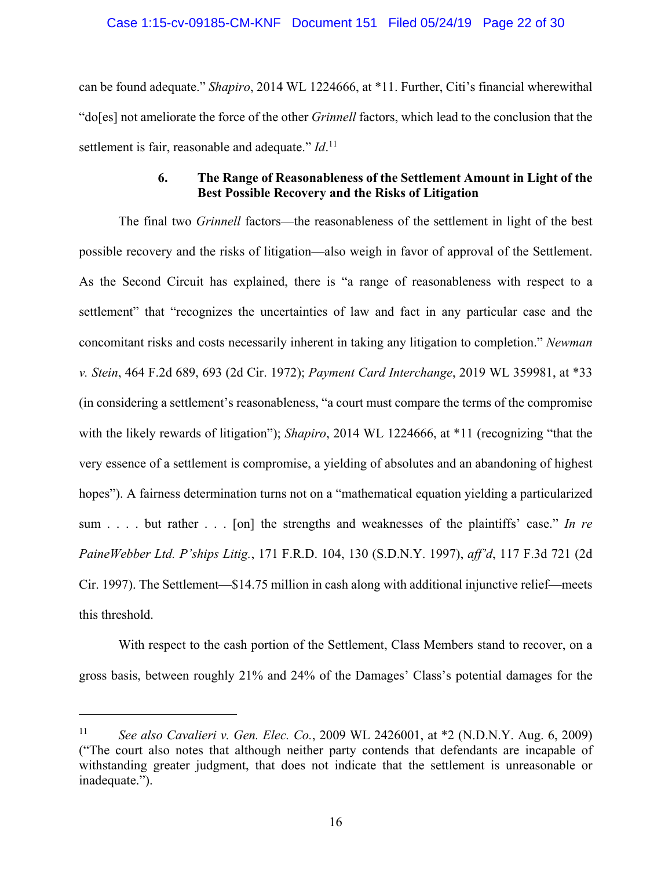### Case 1:15-cv-09185-CM-KNF Document 151 Filed 05/24/19 Page 22 of 30

can be found adequate." *Shapiro*, 2014 WL 1224666, at \*11. Further, Citi's financial wherewithal "do[es] not ameliorate the force of the other *Grinnell* factors, which lead to the conclusion that the settlement is fair, reasonable and adequate." *Id*.<sup>11</sup>

## **6. The Range of Reasonableness of the Settlement Amount in Light of the Best Possible Recovery and the Risks of Litigation**

The final two *Grinnell* factors—the reasonableness of the settlement in light of the best possible recovery and the risks of litigation—also weigh in favor of approval of the Settlement. As the Second Circuit has explained, there is "a range of reasonableness with respect to a settlement" that "recognizes the uncertainties of law and fact in any particular case and the concomitant risks and costs necessarily inherent in taking any litigation to completion." *Newman v. Stein*, 464 F.2d 689, 693 (2d Cir. 1972); *Payment Card Interchange*, 2019 WL 359981, at \*33 (in considering a settlement's reasonableness, "a court must compare the terms of the compromise with the likely rewards of litigation"); *Shapiro*, 2014 WL 1224666, at \*11 (recognizing "that the very essence of a settlement is compromise, a yielding of absolutes and an abandoning of highest hopes"). A fairness determination turns not on a "mathematical equation yielding a particularized sum . . . . but rather . . . [on] the strengths and weaknesses of the plaintiffs' case." *In re PaineWebber Ltd. P'ships Litig.*, 171 F.R.D. 104, 130 (S.D.N.Y. 1997), *aff'd*, 117 F.3d 721 (2d Cir. 1997). The Settlement—\$14.75 million in cash along with additional injunctive relief—meets this threshold.

With respect to the cash portion of the Settlement, Class Members stand to recover, on a gross basis, between roughly 21% and 24% of the Damages' Class's potential damages for the

1

<sup>11</sup> *See also Cavalieri v. Gen. Elec. Co.*, 2009 WL 2426001, at \*2 (N.D.N.Y. Aug. 6, 2009) ("The court also notes that although neither party contends that defendants are incapable of withstanding greater judgment, that does not indicate that the settlement is unreasonable or inadequate.").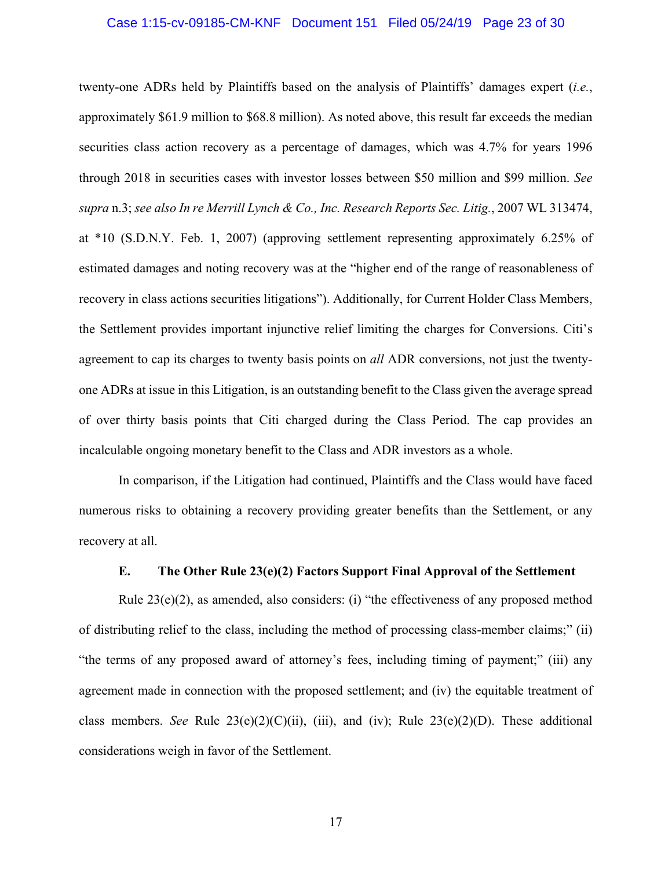## Case 1:15-cv-09185-CM-KNF Document 151 Filed 05/24/19 Page 23 of 30

twenty-one ADRs held by Plaintiffs based on the analysis of Plaintiffs' damages expert (*i.e.*, approximately \$61.9 million to \$68.8 million). As noted above, this result far exceeds the median securities class action recovery as a percentage of damages, which was 4.7% for years 1996 through 2018 in securities cases with investor losses between \$50 million and \$99 million. *See supra* n.3; *see also In re Merrill Lynch & Co., Inc. Research Reports Sec. Litig.*, 2007 WL 313474, at \*10 (S.D.N.Y. Feb. 1, 2007) (approving settlement representing approximately 6.25% of estimated damages and noting recovery was at the "higher end of the range of reasonableness of recovery in class actions securities litigations"). Additionally, for Current Holder Class Members, the Settlement provides important injunctive relief limiting the charges for Conversions. Citi's agreement to cap its charges to twenty basis points on *all* ADR conversions, not just the twentyone ADRs at issue in this Litigation, is an outstanding benefit to the Class given the average spread of over thirty basis points that Citi charged during the Class Period. The cap provides an incalculable ongoing monetary benefit to the Class and ADR investors as a whole.

In comparison, if the Litigation had continued, Plaintiffs and the Class would have faced numerous risks to obtaining a recovery providing greater benefits than the Settlement, or any recovery at all.

#### **E. The Other Rule 23(e)(2) Factors Support Final Approval of the Settlement**

Rule 23(e)(2), as amended, also considers: (i) "the effectiveness of any proposed method of distributing relief to the class, including the method of processing class-member claims;" (ii) "the terms of any proposed award of attorney's fees, including timing of payment;" (iii) any agreement made in connection with the proposed settlement; and (iv) the equitable treatment of class members. *See* Rule 23(e)(2)(C)(ii), (iii), and (iv); Rule 23(e)(2)(D). These additional considerations weigh in favor of the Settlement.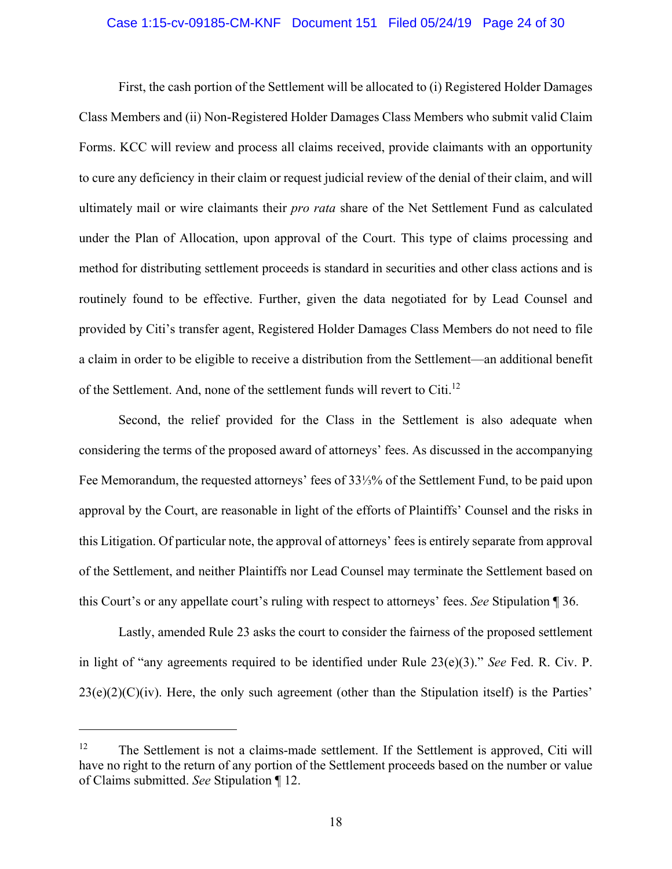#### Case 1:15-cv-09185-CM-KNF Document 151 Filed 05/24/19 Page 24 of 30

First, the cash portion of the Settlement will be allocated to (i) Registered Holder Damages Class Members and (ii) Non-Registered Holder Damages Class Members who submit valid Claim Forms. KCC will review and process all claims received, provide claimants with an opportunity to cure any deficiency in their claim or request judicial review of the denial of their claim, and will ultimately mail or wire claimants their *pro rata* share of the Net Settlement Fund as calculated under the Plan of Allocation, upon approval of the Court. This type of claims processing and method for distributing settlement proceeds is standard in securities and other class actions and is routinely found to be effective. Further, given the data negotiated for by Lead Counsel and provided by Citi's transfer agent, Registered Holder Damages Class Members do not need to file a claim in order to be eligible to receive a distribution from the Settlement—an additional benefit of the Settlement. And, none of the settlement funds will revert to Citi.<sup>12</sup>

Second, the relief provided for the Class in the Settlement is also adequate when considering the terms of the proposed award of attorneys' fees. As discussed in the accompanying Fee Memorandum, the requested attorneys' fees of 33⅓% of the Settlement Fund, to be paid upon approval by the Court, are reasonable in light of the efforts of Plaintiffs' Counsel and the risks in this Litigation. Of particular note, the approval of attorneys' fees is entirely separate from approval of the Settlement, and neither Plaintiffs nor Lead Counsel may terminate the Settlement based on this Court's or any appellate court's ruling with respect to attorneys' fees. *See* Stipulation ¶ 36.

Lastly, amended Rule 23 asks the court to consider the fairness of the proposed settlement in light of "any agreements required to be identified under Rule 23(e)(3)." *See* Fed. R. Civ. P.  $23(e)(2)(C)(iv)$ . Here, the only such agreement (other than the Stipulation itself) is the Parties'

 $\overline{a}$ 

 $12$  The Settlement is not a claims-made settlement. If the Settlement is approved, Citi will have no right to the return of any portion of the Settlement proceeds based on the number or value of Claims submitted. *See* Stipulation ¶ 12.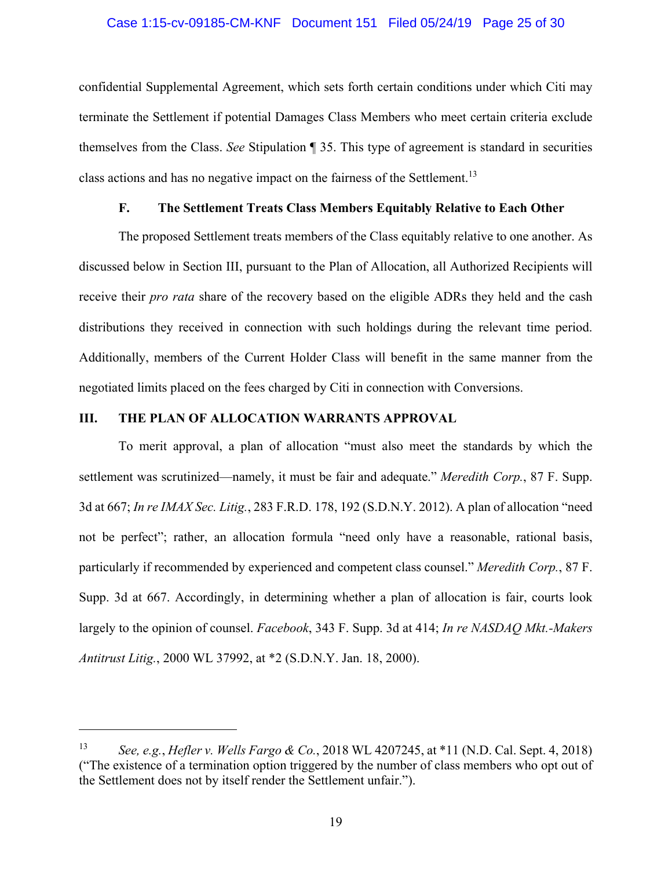## Case 1:15-cv-09185-CM-KNF Document 151 Filed 05/24/19 Page 25 of 30

confidential Supplemental Agreement, which sets forth certain conditions under which Citi may terminate the Settlement if potential Damages Class Members who meet certain criteria exclude themselves from the Class. *See* Stipulation ¶ 35. This type of agreement is standard in securities class actions and has no negative impact on the fairness of the Settlement.<sup>13</sup>

## **F. The Settlement Treats Class Members Equitably Relative to Each Other**

The proposed Settlement treats members of the Class equitably relative to one another. As discussed below in Section III, pursuant to the Plan of Allocation, all Authorized Recipients will receive their *pro rata* share of the recovery based on the eligible ADRs they held and the cash distributions they received in connection with such holdings during the relevant time period. Additionally, members of the Current Holder Class will benefit in the same manner from the negotiated limits placed on the fees charged by Citi in connection with Conversions.

### **III. THE PLAN OF ALLOCATION WARRANTS APPROVAL**

<u>.</u>

To merit approval, a plan of allocation "must also meet the standards by which the settlement was scrutinized—namely, it must be fair and adequate." *Meredith Corp.*, 87 F. Supp. 3d at 667; *In re IMAX Sec. Litig.*, 283 F.R.D. 178, 192 (S.D.N.Y. 2012). A plan of allocation "need not be perfect"; rather, an allocation formula "need only have a reasonable, rational basis, particularly if recommended by experienced and competent class counsel." *Meredith Corp.*, 87 F. Supp. 3d at 667. Accordingly, in determining whether a plan of allocation is fair, courts look largely to the opinion of counsel. *Facebook*, 343 F. Supp. 3d at 414; *In re NASDAQ Mkt.-Makers Antitrust Litig.*, 2000 WL 37992, at \*2 (S.D.N.Y. Jan. 18, 2000).

<sup>13</sup> *See, e.g.*, *Hefler v. Wells Fargo & Co.*, 2018 WL 4207245, at \*11 (N.D. Cal. Sept. 4, 2018) ("The existence of a termination option triggered by the number of class members who opt out of the Settlement does not by itself render the Settlement unfair.").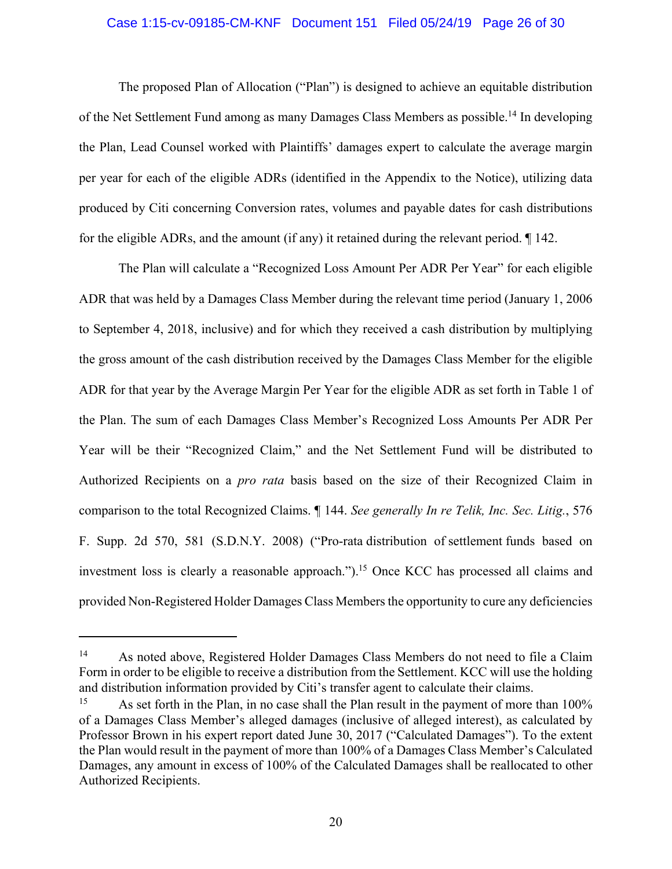#### Case 1:15-cv-09185-CM-KNF Document 151 Filed 05/24/19 Page 26 of 30

The proposed Plan of Allocation ("Plan") is designed to achieve an equitable distribution of the Net Settlement Fund among as many Damages Class Members as possible.<sup>14</sup> In developing the Plan, Lead Counsel worked with Plaintiffs' damages expert to calculate the average margin per year for each of the eligible ADRs (identified in the Appendix to the Notice), utilizing data produced by Citi concerning Conversion rates, volumes and payable dates for cash distributions for the eligible ADRs, and the amount (if any) it retained during the relevant period. ¶ 142.

The Plan will calculate a "Recognized Loss Amount Per ADR Per Year" for each eligible ADR that was held by a Damages Class Member during the relevant time period (January 1, 2006 to September 4, 2018, inclusive) and for which they received a cash distribution by multiplying the gross amount of the cash distribution received by the Damages Class Member for the eligible ADR for that year by the Average Margin Per Year for the eligible ADR as set forth in Table 1 of the Plan. The sum of each Damages Class Member's Recognized Loss Amounts Per ADR Per Year will be their "Recognized Claim," and the Net Settlement Fund will be distributed to Authorized Recipients on a *pro rata* basis based on the size of their Recognized Claim in comparison to the total Recognized Claims. ¶ 144. *See generally In re Telik, Inc. Sec. Litig.*, 576 F. Supp. 2d 570, 581 (S.D.N.Y. 2008) ("Pro-rata distribution of settlement funds based on investment loss is clearly a reasonable approach.").<sup>15</sup> Once KCC has processed all claims and provided Non-Registered Holder Damages Class Members the opportunity to cure any deficiencies

 $\overline{a}$ 

<sup>&</sup>lt;sup>14</sup> As noted above, Registered Holder Damages Class Members do not need to file a Claim Form in order to be eligible to receive a distribution from the Settlement. KCC will use the holding and distribution information provided by Citi's transfer agent to calculate their claims.

<sup>&</sup>lt;sup>15</sup> As set forth in the Plan, in no case shall the Plan result in the payment of more than  $100\%$ of a Damages Class Member's alleged damages (inclusive of alleged interest), as calculated by Professor Brown in his expert report dated June 30, 2017 ("Calculated Damages"). To the extent the Plan would result in the payment of more than 100% of a Damages Class Member's Calculated Damages, any amount in excess of 100% of the Calculated Damages shall be reallocated to other Authorized Recipients.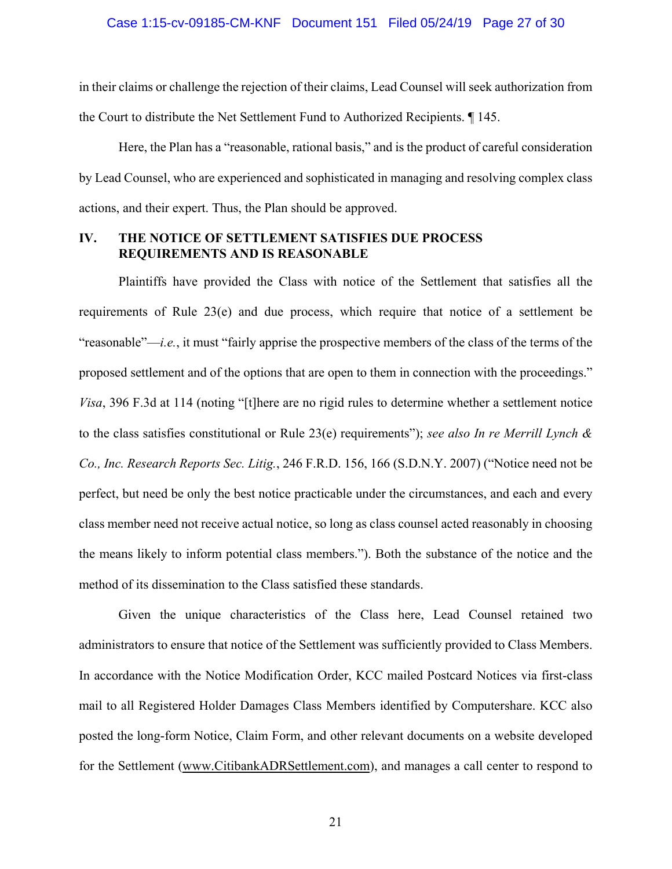in their claims or challenge the rejection of their claims, Lead Counsel will seek authorization from the Court to distribute the Net Settlement Fund to Authorized Recipients. ¶ 145.

Here, the Plan has a "reasonable, rational basis," and is the product of careful consideration by Lead Counsel, who are experienced and sophisticated in managing and resolving complex class actions, and their expert. Thus, the Plan should be approved.

### **IV. THE NOTICE OF SETTLEMENT SATISFIES DUE PROCESS REQUIREMENTS AND IS REASONABLE**

Plaintiffs have provided the Class with notice of the Settlement that satisfies all the requirements of Rule 23(e) and due process, which require that notice of a settlement be "reasonable"—*i.e.*, it must "fairly apprise the prospective members of the class of the terms of the proposed settlement and of the options that are open to them in connection with the proceedings." *Visa*, 396 F.3d at 114 (noting "[t]here are no rigid rules to determine whether a settlement notice to the class satisfies constitutional or Rule 23(e) requirements"); *see also In re Merrill Lynch & Co., Inc. Research Reports Sec. Litig.*, 246 F.R.D. 156, 166 (S.D.N.Y. 2007) ("Notice need not be perfect, but need be only the best notice practicable under the circumstances, and each and every class member need not receive actual notice, so long as class counsel acted reasonably in choosing the means likely to inform potential class members."). Both the substance of the notice and the method of its dissemination to the Class satisfied these standards.

Given the unique characteristics of the Class here, Lead Counsel retained two administrators to ensure that notice of the Settlement was sufficiently provided to Class Members. In accordance with the Notice Modification Order, KCC mailed Postcard Notices via first-class mail to all Registered Holder Damages Class Members identified by Computershare. KCC also posted the long-form Notice, Claim Form, and other relevant documents on a website developed for the Settlement (www.CitibankADRSettlement.com), and manages a call center to respond to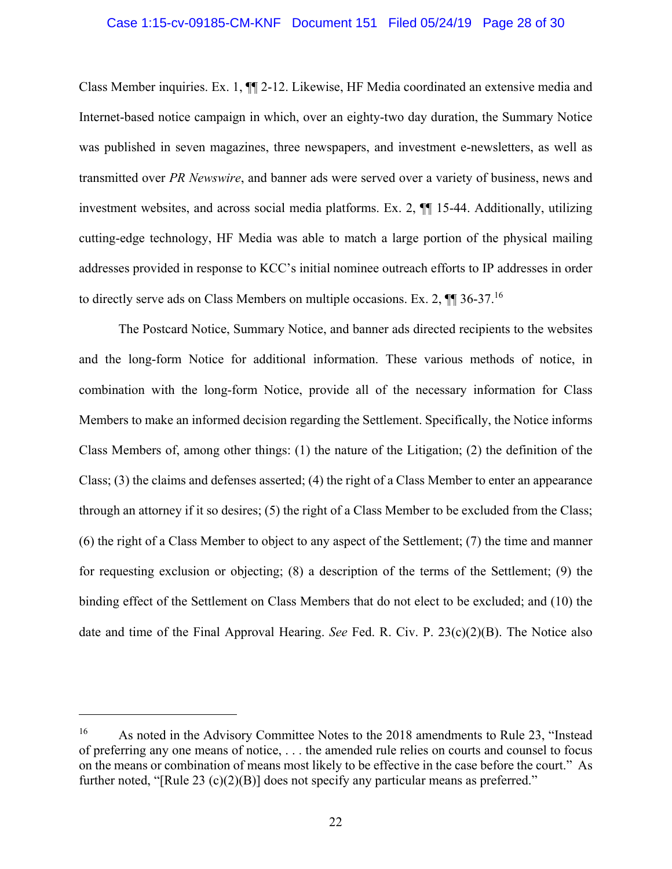#### Case 1:15-cv-09185-CM-KNF Document 151 Filed 05/24/19 Page 28 of 30

Class Member inquiries. Ex. 1, ¶¶ 2-12. Likewise, HF Media coordinated an extensive media and Internet-based notice campaign in which, over an eighty-two day duration, the Summary Notice was published in seven magazines, three newspapers, and investment e-newsletters, as well as transmitted over *PR Newswire*, and banner ads were served over a variety of business, news and investment websites, and across social media platforms. Ex. 2, ¶¶ 15-44. Additionally, utilizing cutting-edge technology, HF Media was able to match a large portion of the physical mailing addresses provided in response to KCC's initial nominee outreach efforts to IP addresses in order to directly serve ads on Class Members on multiple occasions. Ex. 2,  $\P$   $\P$  36-37.<sup>16</sup>

The Postcard Notice, Summary Notice, and banner ads directed recipients to the websites and the long-form Notice for additional information. These various methods of notice, in combination with the long-form Notice, provide all of the necessary information for Class Members to make an informed decision regarding the Settlement. Specifically, the Notice informs Class Members of, among other things: (1) the nature of the Litigation; (2) the definition of the Class; (3) the claims and defenses asserted; (4) the right of a Class Member to enter an appearance through an attorney if it so desires; (5) the right of a Class Member to be excluded from the Class; (6) the right of a Class Member to object to any aspect of the Settlement; (7) the time and manner for requesting exclusion or objecting; (8) a description of the terms of the Settlement; (9) the binding effect of the Settlement on Class Members that do not elect to be excluded; and (10) the date and time of the Final Approval Hearing. *See* Fed. R. Civ. P. 23(c)(2)(B). The Notice also

 $\overline{a}$ 

<sup>&</sup>lt;sup>16</sup> As noted in the Advisory Committee Notes to the 2018 amendments to Rule 23, "Instead of preferring any one means of notice, . . . the amended rule relies on courts and counsel to focus on the means or combination of means most likely to be effective in the case before the court." As further noted, "[Rule 23 (c)(2)(B)] does not specify any particular means as preferred."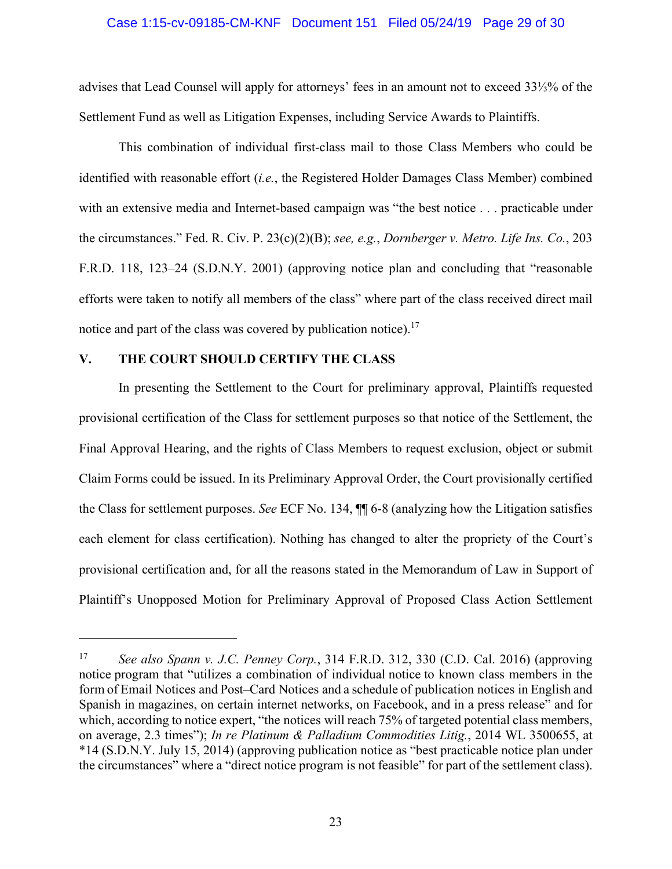## Case 1:15-cv-09185-CM-KNF Document 151 Filed 05/24/19 Page 29 of 30

advises that Lead Counsel will apply for attorneys' fees in an amount not to exceed 33⅓% of the Settlement Fund as well as Litigation Expenses, including Service Awards to Plaintiffs.

This combination of individual first-class mail to those Class Members who could be identified with reasonable effort (*i.e.*, the Registered Holder Damages Class Member) combined with an extensive media and Internet-based campaign was "the best notice . . . practicable under the circumstances." Fed. R. Civ. P. 23(c)(2)(B); *see, e.g.*, *Dornberger v. Metro. Life Ins. Co.*, 203 F.R.D. 118, 123–24 (S.D.N.Y. 2001) (approving notice plan and concluding that "reasonable efforts were taken to notify all members of the class" where part of the class received direct mail notice and part of the class was covered by publication notice).<sup>17</sup>

### **V. THE COURT SHOULD CERTIFY THE CLASS**

 $\overline{a}$ 

In presenting the Settlement to the Court for preliminary approval, Plaintiffs requested provisional certification of the Class for settlement purposes so that notice of the Settlement, the Final Approval Hearing, and the rights of Class Members to request exclusion, object or submit Claim Forms could be issued. In its Preliminary Approval Order, the Court provisionally certified the Class for settlement purposes. *See* ECF No. 134, ¶¶ 6-8 (analyzing how the Litigation satisfies each element for class certification). Nothing has changed to alter the propriety of the Court's provisional certification and, for all the reasons stated in the Memorandum of Law in Support of Plaintiff's Unopposed Motion for Preliminary Approval of Proposed Class Action Settlement

<sup>17</sup> *See also Spann v. J.C. Penney Corp.*, 314 F.R.D. 312, 330 (C.D. Cal. 2016) (approving notice program that "utilizes a combination of individual notice to known class members in the form of Email Notices and Post–Card Notices and a schedule of publication notices in English and Spanish in magazines, on certain internet networks, on Facebook, and in a press release" and for which, according to notice expert, "the notices will reach 75% of targeted potential class members, on average, 2.3 times"); *In re Platinum & Palladium Commodities Litig.*, 2014 WL 3500655, at \*14 (S.D.N.Y. July 15, 2014) (approving publication notice as "best practicable notice plan under the circumstances" where a "direct notice program is not feasible" for part of the settlement class).